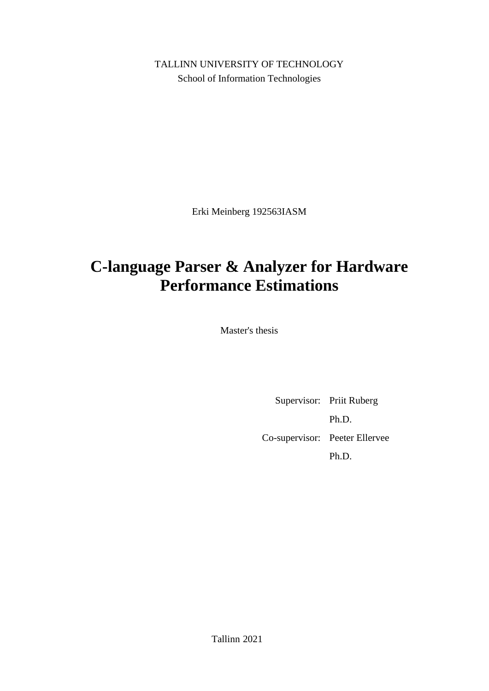TALLINN UNIVERSITY OF TECHNOLOGY School of Information Technologies

Erki Meinberg 192563IASM

# **C-language Parser & Analyzer for Hardware Performance Estimations**

Master's thesis

Supervisor: Priit Ruberg Ph.D. Co-supervisor: Peeter Ellervee Ph.D.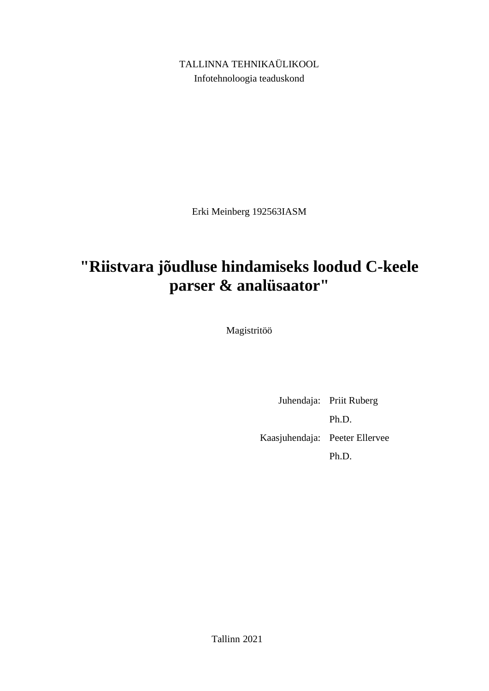TALLINNA TEHNIKAÜLIKOOL Infotehnoloogia teaduskond

Erki Meinberg 192563IASM

# **"Riistvara jõudluse hindamiseks loodud C-keele parser & analüsaator"**

Magistritöö

Juhendaja: Priit Ruberg Ph.D. Kaasjuhendaja: Peeter Ellervee Ph.D.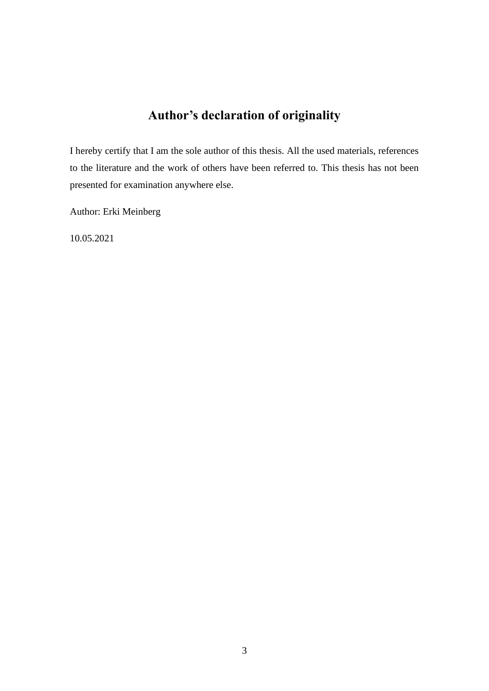## **Author's declaration of originality**

I hereby certify that I am the sole author of this thesis. All the used materials, references to the literature and the work of others have been referred to. This thesis has not been presented for examination anywhere else.

Author: Erki Meinberg

10.05.2021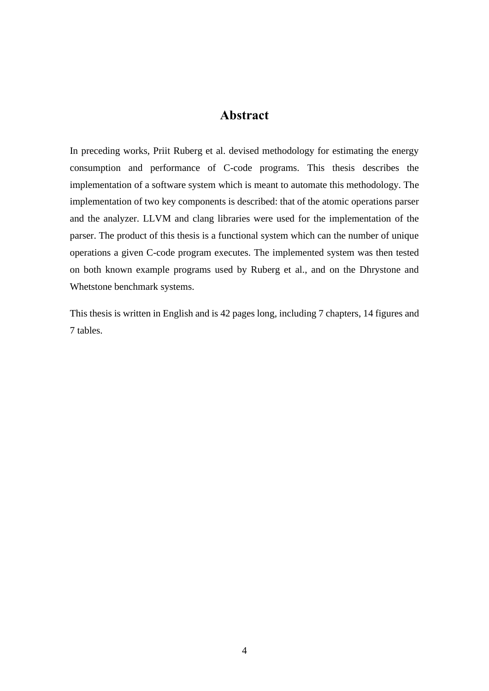## **Abstract**

In preceding works, Priit Ruberg et al. devised methodology for estimating the energy consumption and performance of C-code programs. This thesis describes the implementation of a software system which is meant to automate this methodology. The implementation of two key components is described: that of the atomic operations parser and the analyzer. LLVM and clang libraries were used for the implementation of the parser. The product of this thesis is a functional system which can the number of unique operations a given C-code program executes. The implemented system was then tested on both known example programs used by Ruberg et al., and on the Dhrystone and Whetstone benchmark systems.

This thesis is written in English and is 42 pages long, including 7 chapters, 14 figures and 7 tables.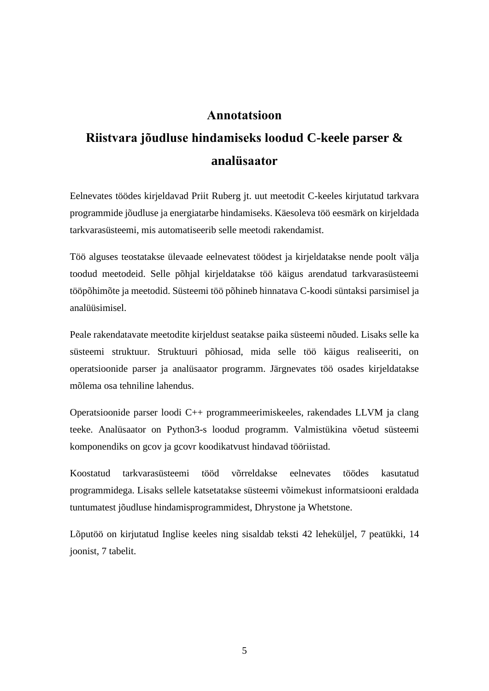## **Annotatsioon**

# **Riistvara jõudluse hindamiseks loodud C-keele parser & analüsaator**

Eelnevates töödes kirjeldavad Priit Ruberg jt. uut meetodit C-keeles kirjutatud tarkvara programmide jõudluse ja energiatarbe hindamiseks. Käesoleva töö eesmärk on kirjeldada tarkvarasüsteemi, mis automatiseerib selle meetodi rakendamist.

Töö alguses teostatakse ülevaade eelnevatest töödest ja kirjeldatakse nende poolt välja toodud meetodeid. Selle põhjal kirjeldatakse töö käigus arendatud tarkvarasüsteemi tööpõhimõte ja meetodid. Süsteemi töö põhineb hinnatava C-koodi süntaksi parsimisel ja analüüsimisel.

Peale rakendatavate meetodite kirjeldust seatakse paika süsteemi nõuded. Lisaks selle ka süsteemi struktuur. Struktuuri põhiosad, mida selle töö käigus realiseeriti, on operatsioonide parser ja analüsaator programm. Järgnevates töö osades kirjeldatakse mõlema osa tehniline lahendus.

Operatsioonide parser loodi C++ programmeerimiskeeles, rakendades LLVM ja clang teeke. Analüsaator on Python3-s loodud programm. Valmistükina võetud süsteemi komponendiks on gcov ja gcovr koodikatvust hindavad tööriistad.

Koostatud tarkvarasüsteemi tööd võrreldakse eelnevates töödes kasutatud programmidega. Lisaks sellele katsetatakse süsteemi võimekust informatsiooni eraldada tuntumatest jõudluse hindamisprogrammidest, Dhrystone ja Whetstone.

Lõputöö on kirjutatud Inglise keeles ning sisaldab teksti 42 leheküljel, 7 peatükki, 14 joonist, 7 tabelit.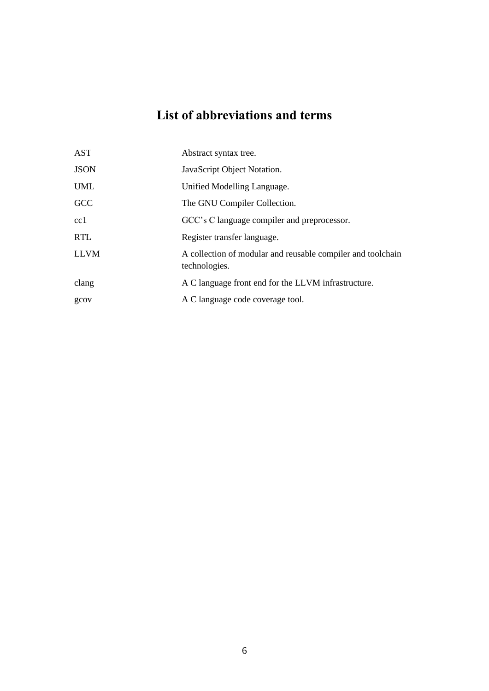## **List of abbreviations and terms**

| <b>AST</b>  | Abstract syntax tree.                                                        |
|-------------|------------------------------------------------------------------------------|
| <b>JSON</b> | JavaScript Object Notation.                                                  |
| <b>UML</b>  | Unified Modelling Language.                                                  |
| GCC         | The GNU Compiler Collection.                                                 |
| cc1         | GCC's C language compiler and preprocessor.                                  |
| <b>RTL</b>  | Register transfer language.                                                  |
| <b>LLVM</b> | A collection of modular and reusable compiler and toolchain<br>technologies. |
| clang       | A C language front end for the LLVM infrastructure.                          |
| gcov        | A C language code coverage tool.                                             |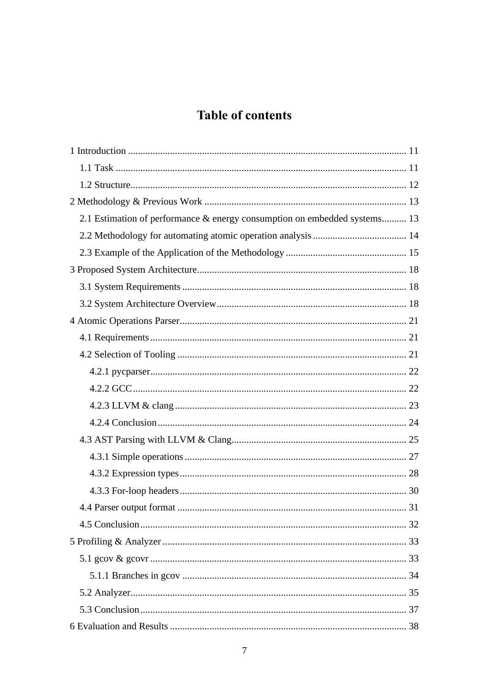## **Table of contents**

| 2.1 Estimation of performance & energy consumption on embedded systems 13 |  |
|---------------------------------------------------------------------------|--|
|                                                                           |  |
|                                                                           |  |
|                                                                           |  |
|                                                                           |  |
|                                                                           |  |
|                                                                           |  |
|                                                                           |  |
|                                                                           |  |
|                                                                           |  |
|                                                                           |  |
|                                                                           |  |
|                                                                           |  |
|                                                                           |  |
|                                                                           |  |
|                                                                           |  |
|                                                                           |  |
|                                                                           |  |
|                                                                           |  |
|                                                                           |  |
|                                                                           |  |
|                                                                           |  |
|                                                                           |  |
|                                                                           |  |
|                                                                           |  |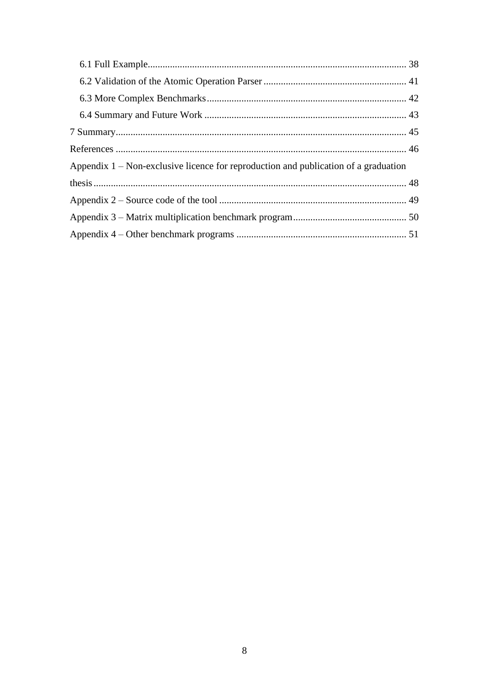| Appendix $1$ – Non-exclusive licence for reproduction and publication of a graduation |  |
|---------------------------------------------------------------------------------------|--|
|                                                                                       |  |
|                                                                                       |  |
|                                                                                       |  |
|                                                                                       |  |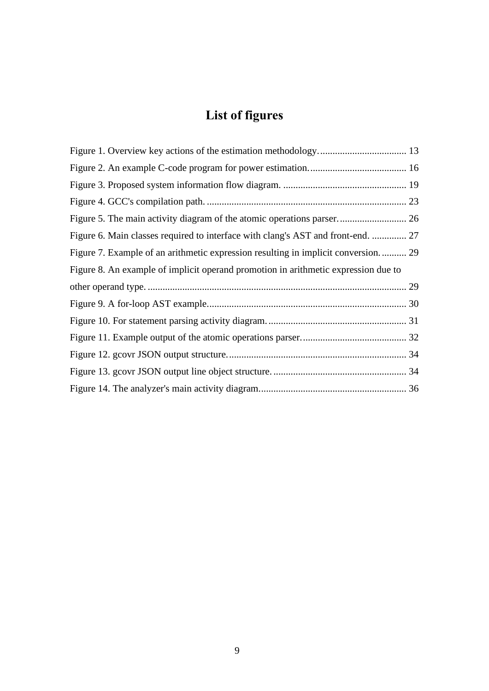# **List of figures**

| Figure 6. Main classes required to interface with clang's AST and front-end.  27   |  |
|------------------------------------------------------------------------------------|--|
| Figure 7. Example of an arithmetic expression resulting in implicit conversion 29  |  |
| Figure 8. An example of implicit operand promotion in arithmetic expression due to |  |
|                                                                                    |  |
|                                                                                    |  |
|                                                                                    |  |
|                                                                                    |  |
|                                                                                    |  |
|                                                                                    |  |
|                                                                                    |  |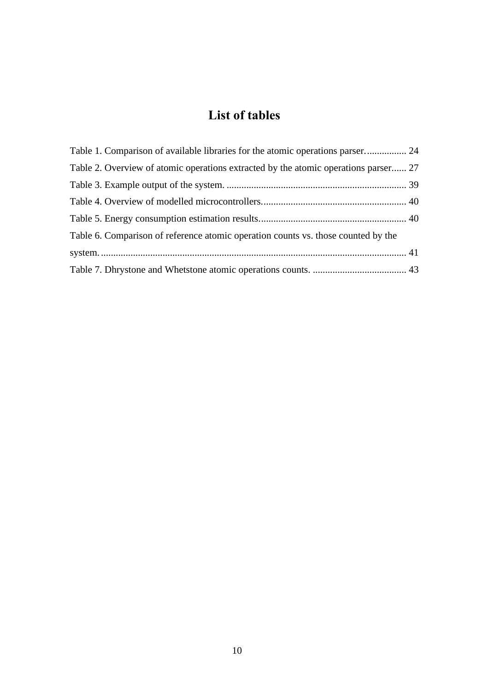## **List of tables**

| Table 1. Comparison of available libraries for the atomic operations parser 24      |  |
|-------------------------------------------------------------------------------------|--|
| Table 2. Overview of atomic operations extracted by the atomic operations parser 27 |  |
|                                                                                     |  |
|                                                                                     |  |
|                                                                                     |  |
| Table 6. Comparison of reference atomic operation counts vs. those counted by the   |  |
|                                                                                     |  |
|                                                                                     |  |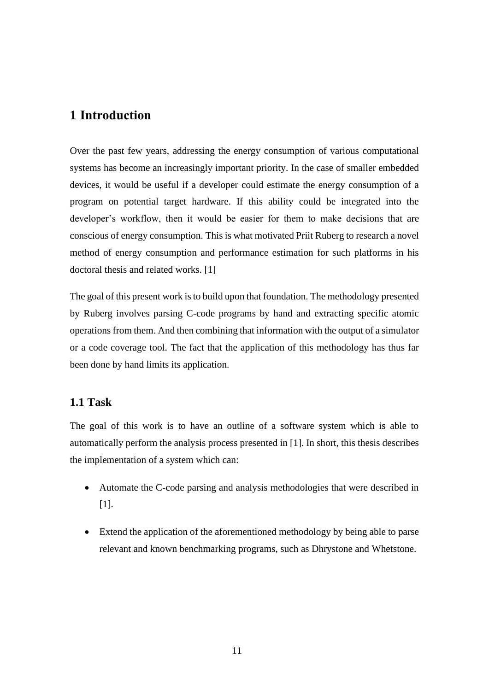## <span id="page-10-0"></span>**1 Introduction**

Over the past few years, addressing the energy consumption of various computational systems has become an increasingly important priority. In the case of smaller embedded devices, it would be useful if a developer could estimate the energy consumption of a program on potential target hardware. If this ability could be integrated into the developer's workflow, then it would be easier for them to make decisions that are conscious of energy consumption. This is what motivated Priit Ruberg to research a novel method of energy consumption and performance estimation for such platforms in his doctoral thesis and related works. [1]

The goal of this present work is to build upon that foundation. The methodology presented by Ruberg involves parsing C-code programs by hand and extracting specific atomic operations from them. And then combining that information with the output of a simulator or a code coverage tool. The fact that the application of this methodology has thus far been done by hand limits its application.

### <span id="page-10-1"></span>**1.1 Task**

The goal of this work is to have an outline of a software system which is able to automatically perform the analysis process presented in [1]. In short, this thesis describes the implementation of a system which can:

- Automate the C-code parsing and analysis methodologies that were described in [1].
- Extend the application of the aforementioned methodology by being able to parse relevant and known benchmarking programs, such as Dhrystone and Whetstone.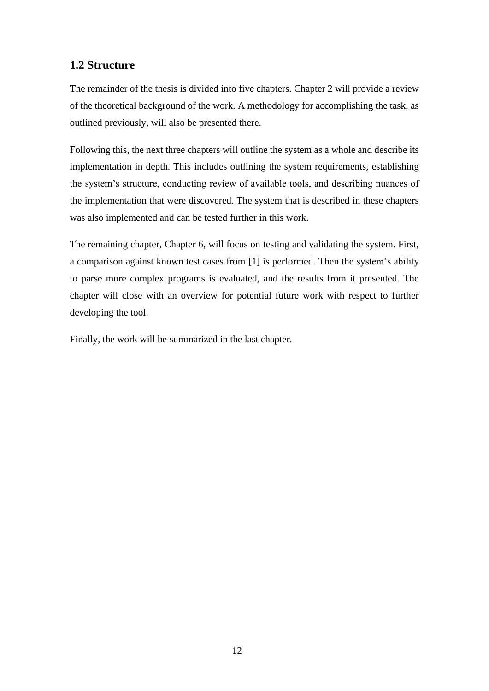## <span id="page-11-0"></span>**1.2 Structure**

The remainder of the thesis is divided into five chapters. Chapter 2 will provide a review of the theoretical background of the work. A methodology for accomplishing the task, as outlined previously, will also be presented there.

Following this, the next three chapters will outline the system as a whole and describe its implementation in depth. This includes outlining the system requirements, establishing the system's structure, conducting review of available tools, and describing nuances of the implementation that were discovered. The system that is described in these chapters was also implemented and can be tested further in this work.

The remaining chapter, Chapter 6, will focus on testing and validating the system. First, a comparison against known test cases from [1] is performed. Then the system's ability to parse more complex programs is evaluated, and the results from it presented. The chapter will close with an overview for potential future work with respect to further developing the tool.

Finally, the work will be summarized in the last chapter.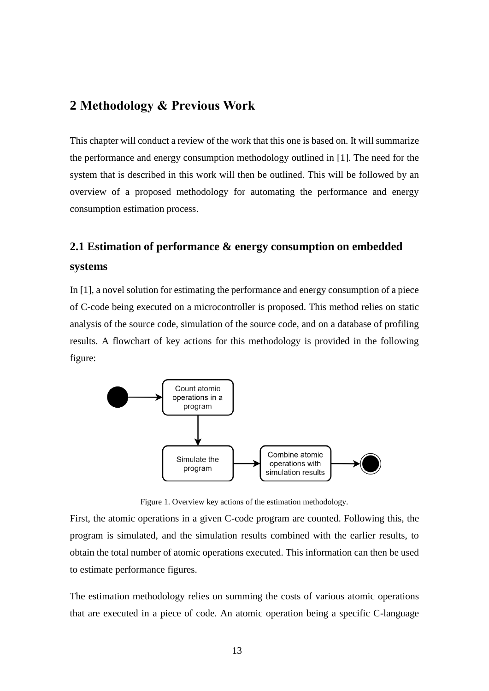## <span id="page-12-0"></span>**2 Methodology & Previous Work**

This chapter will conduct a review of the work that this one is based on. It will summarize the performance and energy consumption methodology outlined in [1]. The need for the system that is described in this work will then be outlined. This will be followed by an overview of a proposed methodology for automating the performance and energy consumption estimation process.

## <span id="page-12-1"></span>**2.1 Estimation of performance & energy consumption on embedded systems**

In [1], a novel solution for estimating the performance and energy consumption of a piece of C-code being executed on a microcontroller is proposed. This method relies on static analysis of the source code, simulation of the source code, and on a database of profiling results. A flowchart of key actions for this methodology is provided in the following figure:



Figure 1. Overview key actions of the estimation methodology.

<span id="page-12-2"></span>First, the atomic operations in a given C-code program are counted. Following this, the program is simulated, and the simulation results combined with the earlier results, to obtain the total number of atomic operations executed. This information can then be used to estimate performance figures.

The estimation methodology relies on summing the costs of various atomic operations that are executed in a piece of code. An atomic operation being a specific C-language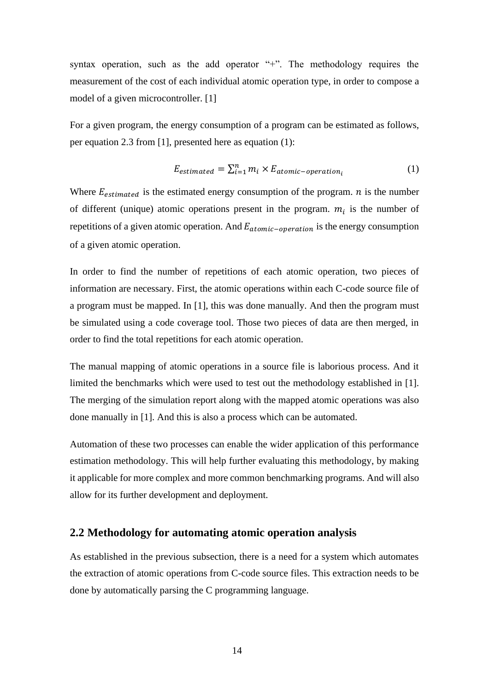syntax operation, such as the add operator "+". The methodology requires the measurement of the cost of each individual atomic operation type, in order to compose a model of a given microcontroller. [1]

For a given program, the energy consumption of a program can be estimated as follows, per equation 2.3 from [1], presented here as equation (1):

$$
E_{estimated} = \sum_{i=1}^{n} m_i \times E_{atomic-operation_i}
$$
 (1)

Where  $E_{estimated}$  is the estimated energy consumption of the program.  $n$  is the number of different (unique) atomic operations present in the program.  $m_i$  is the number of repetitions of a given atomic operation. And  $E_{atomic-operation}$  is the energy consumption of a given atomic operation.

In order to find the number of repetitions of each atomic operation, two pieces of information are necessary. First, the atomic operations within each C-code source file of a program must be mapped. In [1], this was done manually. And then the program must be simulated using a code coverage tool. Those two pieces of data are then merged, in order to find the total repetitions for each atomic operation.

The manual mapping of atomic operations in a source file is laborious process. And it limited the benchmarks which were used to test out the methodology established in [1]. The merging of the simulation report along with the mapped atomic operations was also done manually in [1]. And this is also a process which can be automated.

Automation of these two processes can enable the wider application of this performance estimation methodology. This will help further evaluating this methodology, by making it applicable for more complex and more common benchmarking programs. And will also allow for its further development and deployment.

#### <span id="page-13-0"></span>**2.2 Methodology for automating atomic operation analysis**

As established in the previous subsection, there is a need for a system which automates the extraction of atomic operations from C-code source files. This extraction needs to be done by automatically parsing the C programming language.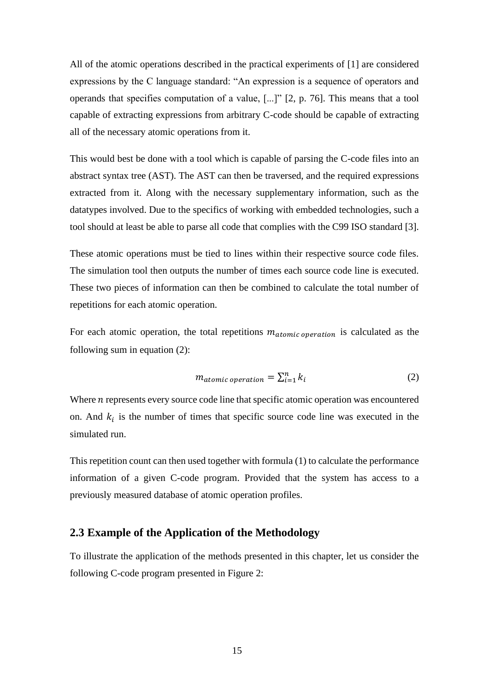All of the atomic operations described in the practical experiments of [1] are considered expressions by the C language standard: "An expression is a sequence of operators and operands that specifies computation of a value, [...]" [2, p. 76]. This means that a tool capable of extracting expressions from arbitrary C-code should be capable of extracting all of the necessary atomic operations from it.

This would best be done with a tool which is capable of parsing the C-code files into an abstract syntax tree (AST). The AST can then be traversed, and the required expressions extracted from it. Along with the necessary supplementary information, such as the datatypes involved. Due to the specifics of working with embedded technologies, such a tool should at least be able to parse all code that complies with the C99 ISO standard [3].

These atomic operations must be tied to lines within their respective source code files. The simulation tool then outputs the number of times each source code line is executed. These two pieces of information can then be combined to calculate the total number of repetitions for each atomic operation.

For each atomic operation, the total repetitions  $m_{atomic\, operation}$  is calculated as the following sum in equation (2):

$$
m_{atomic\ operation} = \sum_{i=1}^{n} k_i
$$
 (2)

Where  $n$  represents every source code line that specific atomic operation was encountered on. And  $k_i$  is the number of times that specific source code line was executed in the simulated run.

This repetition count can then used together with formula (1) to calculate the performance information of a given C-code program. Provided that the system has access to a previously measured database of atomic operation profiles.

#### <span id="page-14-0"></span>**2.3 Example of the Application of the Methodology**

To illustrate the application of the methods presented in this chapter, let us consider the following C-code program presented in [Figure 2:](#page-15-0)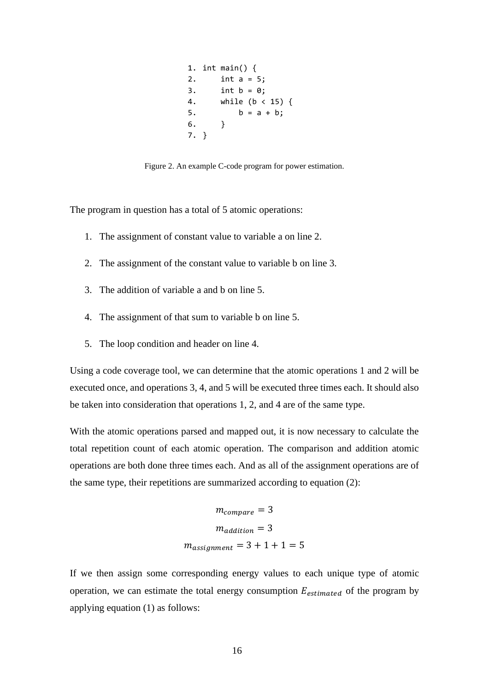1. int main() { 2. int a = 5; 3. int  $b = 0$ ; 4. while (b < 15) { 5.  $b = a + b$ ; 6. } 7. }

Figure 2. An example C-code program for power estimation.

<span id="page-15-0"></span>The program in question has a total of 5 atomic operations:

- 1. The assignment of constant value to variable a on line 2.
- 2. The assignment of the constant value to variable b on line 3.
- 3. The addition of variable a and b on line 5.
- 4. The assignment of that sum to variable b on line 5.
- 5. The loop condition and header on line 4.

Using a code coverage tool, we can determine that the atomic operations 1 and 2 will be executed once, and operations 3, 4, and 5 will be executed three times each. It should also be taken into consideration that operations 1, 2, and 4 are of the same type.

With the atomic operations parsed and mapped out, it is now necessary to calculate the total repetition count of each atomic operation. The comparison and addition atomic operations are both done three times each. And as all of the assignment operations are of the same type, their repetitions are summarized according to equation (2):

$$
m_{compare} = 3
$$

$$
m_{addition} = 3
$$

$$
m_{assignment} = 3 + 1 + 1 = 5
$$

If we then assign some corresponding energy values to each unique type of atomic operation, we can estimate the total energy consumption  $E_{estimated}$  of the program by applying equation (1) as follows: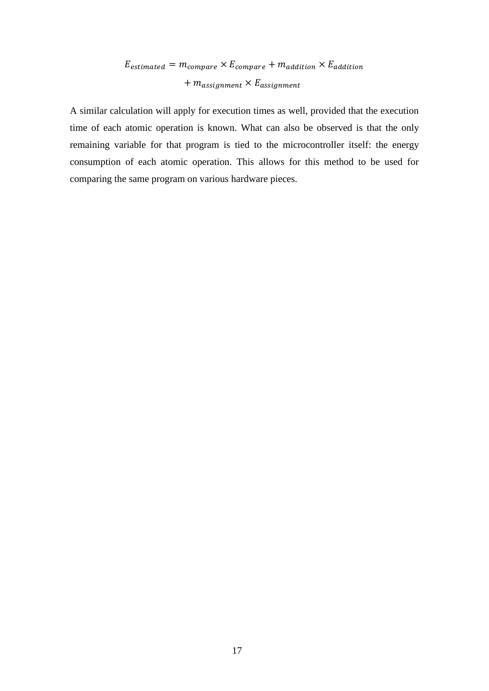## $E_{estimated} = m_{compare} \times E_{compare} + m_{addition} \times E_{addition}$  $+ m_{assignment} \times E_{assignment}$

A similar calculation will apply for execution times as well, provided that the execution time of each atomic operation is known. What can also be observed is that the only remaining variable for that program is tied to the microcontroller itself: the energy consumption of each atomic operation. This allows for this method to be used for comparing the same program on various hardware pieces.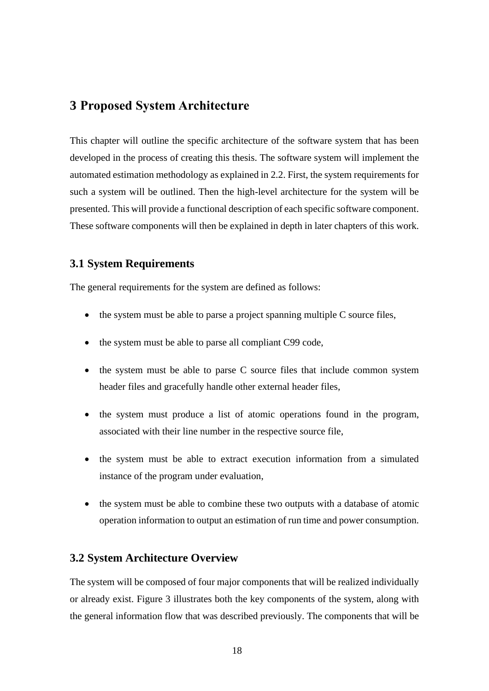## <span id="page-17-0"></span>**3 Proposed System Architecture**

This chapter will outline the specific architecture of the software system that has been developed in the process of creating this thesis. The software system will implement the automated estimation methodology as explained in [2.2.](#page-13-0) First, the system requirements for such a system will be outlined. Then the high-level architecture for the system will be presented. This will provide a functional description of each specific software component. These software components will then be explained in depth in later chapters of this work.

#### <span id="page-17-1"></span>**3.1 System Requirements**

The general requirements for the system are defined as follows:

- the system must be able to parse a project spanning multiple C source files,
- the system must be able to parse all compliant C99 code,
- the system must be able to parse C source files that include common system header files and gracefully handle other external header files,
- the system must produce a list of atomic operations found in the program, associated with their line number in the respective source file,
- the system must be able to extract execution information from a simulated instance of the program under evaluation,
- the system must be able to combine these two outputs with a database of atomic operation information to output an estimation of run time and power consumption.

#### <span id="page-17-2"></span>**3.2 System Architecture Overview**

The system will be composed of four major components that will be realized individually or already exist. [Figure 3](#page-18-0) illustrates both the key components of the system, along with the general information flow that was described previously. The components that will be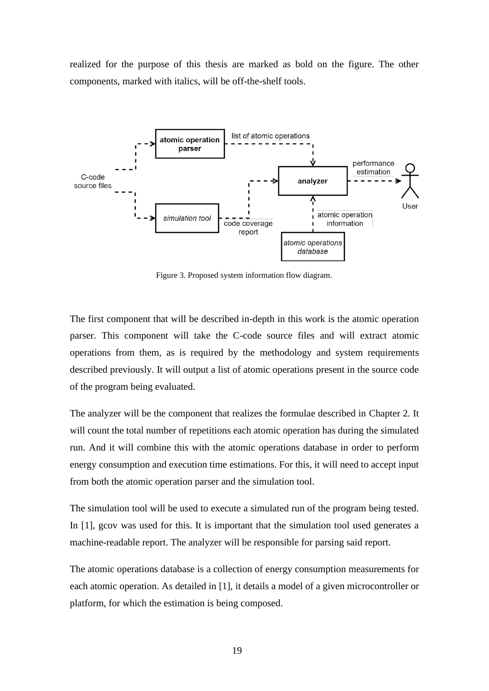realized for the purpose of this thesis are marked as bold on the figure. The other components, marked with italics, will be off-the-shelf tools.



Figure 3. Proposed system information flow diagram.

<span id="page-18-0"></span>The first component that will be described in-depth in this work is the atomic operation parser. This component will take the C-code source files and will extract atomic operations from them, as is required by the methodology and system requirements described previously. It will output a list of atomic operations present in the source code of the program being evaluated.

The analyzer will be the component that realizes the formulae described in Chapter [2.](#page-12-0) It will count the total number of repetitions each atomic operation has during the simulated run. And it will combine this with the atomic operations database in order to perform energy consumption and execution time estimations. For this, it will need to accept input from both the atomic operation parser and the simulation tool.

The simulation tool will be used to execute a simulated run of the program being tested. In [1], gcov was used for this. It is important that the simulation tool used generates a machine-readable report. The analyzer will be responsible for parsing said report.

The atomic operations database is a collection of energy consumption measurements for each atomic operation. As detailed in [1], it details a model of a given microcontroller or platform, for which the estimation is being composed.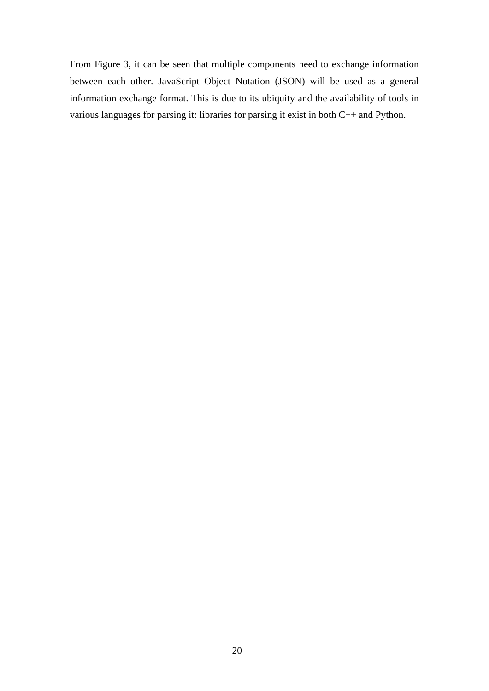From [Figure 3,](#page-18-0) it can be seen that multiple components need to exchange information between each other. JavaScript Object Notation (JSON) will be used as a general information exchange format. This is due to its ubiquity and the availability of tools in various languages for parsing it: libraries for parsing it exist in both C++ and Python.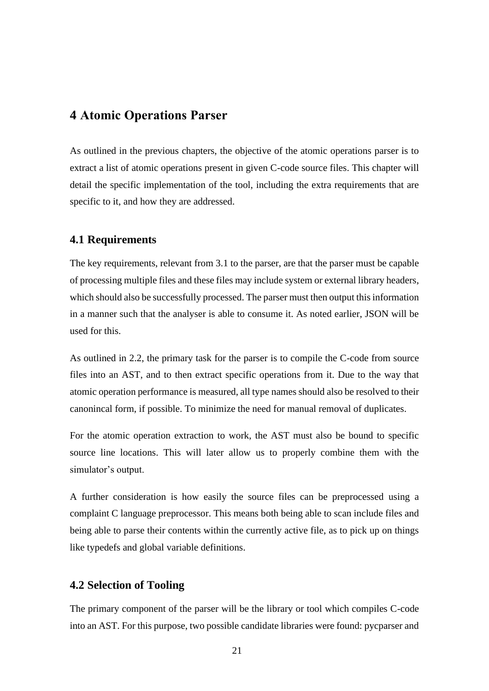## <span id="page-20-0"></span>**4 Atomic Operations Parser**

As outlined in the previous chapters, the objective of the atomic operations parser is to extract a list of atomic operations present in given C-code source files. This chapter will detail the specific implementation of the tool, including the extra requirements that are specific to it, and how they are addressed.

#### <span id="page-20-1"></span>**4.1 Requirements**

The key requirements, relevant from [3.1](#page-17-1) to the parser, are that the parser must be capable of processing multiple files and these files may include system or external library headers, which should also be successfully processed. The parser must then output this information in a manner such that the analyser is able to consume it. As noted earlier, JSON will be used for this.

As outlined in [2.2,](#page-13-0) the primary task for the parser is to compile the C-code from source files into an AST, and to then extract specific operations from it. Due to the way that atomic operation performance is measured, all type names should also be resolved to their canonincal form, if possible. To minimize the need for manual removal of duplicates.

For the atomic operation extraction to work, the AST must also be bound to specific source line locations. This will later allow us to properly combine them with the simulator's output.

A further consideration is how easily the source files can be preprocessed using a complaint C language preprocessor. This means both being able to scan include files and being able to parse their contents within the currently active file, as to pick up on things like typedefs and global variable definitions.

#### <span id="page-20-2"></span>**4.2 Selection of Tooling**

The primary component of the parser will be the library or tool which compiles C-code into an AST. For this purpose, two possible candidate libraries were found: pycparser and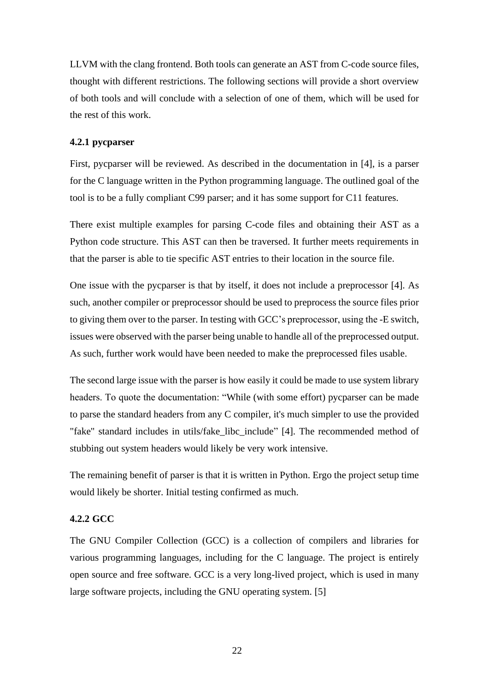LLVM with the clang frontend. Both tools can generate an AST from C-code source files, thought with different restrictions. The following sections will provide a short overview of both tools and will conclude with a selection of one of them, which will be used for the rest of this work.

#### <span id="page-21-0"></span>**4.2.1 pycparser**

First, pycparser will be reviewed. As described in the documentation in [4], is a parser for the C language written in the Python programming language. The outlined goal of the tool is to be a fully compliant C99 parser; and it has some support for C11 features.

There exist multiple examples for parsing C-code files and obtaining their AST as a Python code structure. This AST can then be traversed. It further meets requirements in that the parser is able to tie specific AST entries to their location in the source file.

One issue with the pycparser is that by itself, it does not include a preprocessor [4]. As such, another compiler or preprocessor should be used to preprocess the source files prior to giving them over to the parser. In testing with GCC's preprocessor, using the -E switch, issues were observed with the parser being unable to handle all of the preprocessed output. As such, further work would have been needed to make the preprocessed files usable.

The second large issue with the parser is how easily it could be made to use system library headers. To quote the documentation: "While (with some effort) pycparser can be made to parse the standard headers from any C compiler, it's much simpler to use the provided "fake" standard includes in utils/fake\_libc\_include" [4]. The recommended method of stubbing out system headers would likely be very work intensive.

The remaining benefit of parser is that it is written in Python. Ergo the project setup time would likely be shorter. Initial testing confirmed as much.

#### <span id="page-21-1"></span>**4.2.2 GCC**

The GNU Compiler Collection (GCC) is a collection of compilers and libraries for various programming languages, including for the C language. The project is entirely open source and free software. GCC is a very long-lived project, which is used in many large software projects, including the GNU operating system. [5]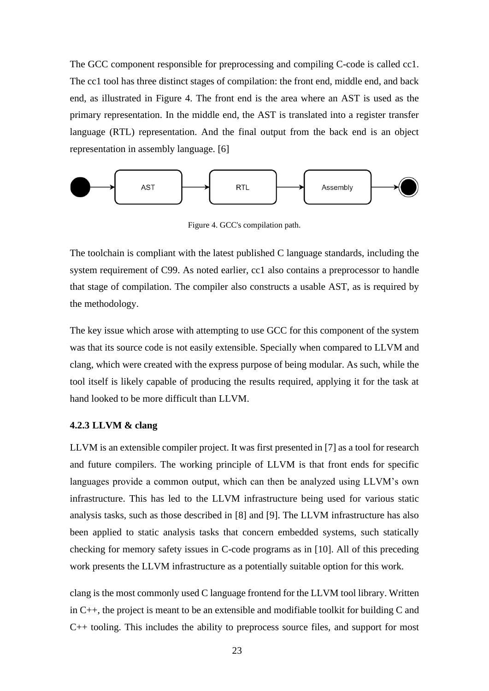The GCC component responsible for preprocessing and compiling C-code is called cc1. The cc1 tool has three distinct stages of compilation: the front end, middle end, and back end, as illustrated in [Figure 4.](#page-22-1) The front end is the area where an AST is used as the primary representation. In the middle end, the AST is translated into a register transfer language (RTL) representation. And the final output from the back end is an object representation in assembly language. [6]



Figure 4. GCC's compilation path.

<span id="page-22-1"></span>The toolchain is compliant with the latest published C language standards, including the system requirement of C99. As noted earlier, cc1 also contains a preprocessor to handle that stage of compilation. The compiler also constructs a usable AST, as is required by the methodology.

The key issue which arose with attempting to use GCC for this component of the system was that its source code is not easily extensible. Specially when compared to LLVM and clang, which were created with the express purpose of being modular. As such, while the tool itself is likely capable of producing the results required, applying it for the task at hand looked to be more difficult than LLVM.

#### <span id="page-22-0"></span>**4.2.3 LLVM & clang**

LLVM is an extensible compiler project. It was first presented in [7] as a tool for research and future compilers. The working principle of LLVM is that front ends for specific languages provide a common output, which can then be analyzed using LLVM's own infrastructure. This has led to the LLVM infrastructure being used for various static analysis tasks, such as those described in [8] and [9]. The LLVM infrastructure has also been applied to static analysis tasks that concern embedded systems, such statically checking for memory safety issues in C-code programs as in [10]. All of this preceding work presents the LLVM infrastructure as a potentially suitable option for this work.

clang is the most commonly used C language frontend for the LLVM tool library. Written in C++, the project is meant to be an extensible and modifiable toolkit for building C and C++ tooling. This includes the ability to preprocess source files, and support for most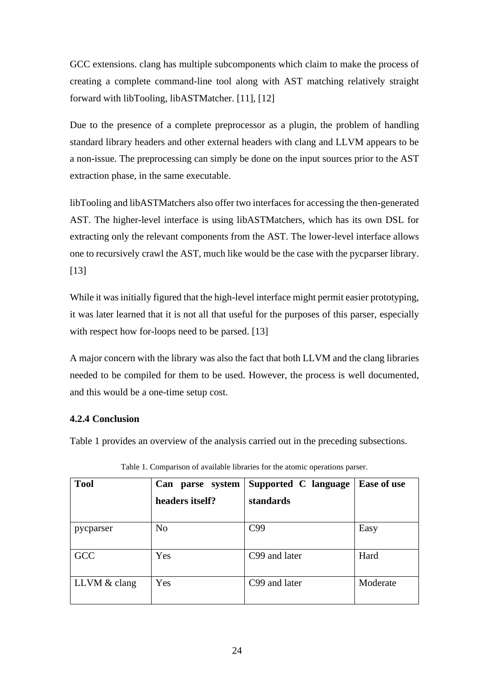GCC extensions. clang has multiple subcomponents which claim to make the process of creating a complete command-line tool along with AST matching relatively straight forward with libTooling, libASTMatcher. [11], [12]

Due to the presence of a complete preprocessor as a plugin, the problem of handling standard library headers and other external headers with clang and LLVM appears to be a non-issue. The preprocessing can simply be done on the input sources prior to the AST extraction phase, in the same executable.

libTooling and libASTMatchers also offer two interfaces for accessing the then-generated AST. The higher-level interface is using libASTMatchers, which has its own DSL for extracting only the relevant components from the AST. The lower-level interface allows one to recursively crawl the AST, much like would be the case with the pycparser library. [13]

While it was initially figured that the high-level interface might permit easier prototyping, it was later learned that it is not all that useful for the purposes of this parser, especially with respect how for-loops need to be parsed. [13]

A major concern with the library was also the fact that both LLVM and the clang libraries needed to be compiled for them to be used. However, the process is well documented, and this would be a one-time setup cost.

### <span id="page-23-0"></span>**4.2.4 Conclusion**

[Table 1](#page-23-1) provides an overview of the analysis carried out in the preceding subsections.

<span id="page-23-1"></span>

| <b>Tool</b>  | Can parse system | Supported C language | Ease of use |
|--------------|------------------|----------------------|-------------|
|              | headers itself?  | standards            |             |
| pycparser    | N <sub>o</sub>   | C99                  | Easy        |
| <b>GCC</b>   | Yes              | C99 and later        | Hard        |
| LLVM & clang | Yes              | C99 and later        | Moderate    |

Table 1. Comparison of available libraries for the atomic operations parser.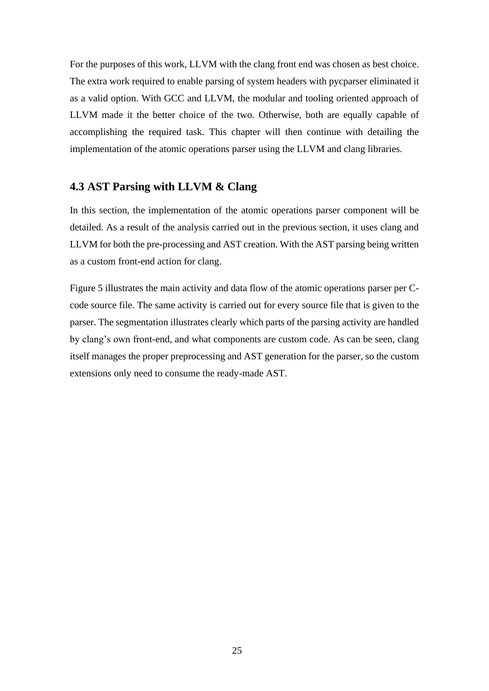For the purposes of this work, LLVM with the clang front end was chosen as best choice. The extra work required to enable parsing of system headers with pycparser eliminated it as a valid option. With GCC and LLVM, the modular and tooling oriented approach of LLVM made it the better choice of the two. Otherwise, both are equally capable of accomplishing the required task. This chapter will then continue with detailing the implementation of the atomic operations parser using the LLVM and clang libraries.

### <span id="page-24-0"></span>**4.3 AST Parsing with LLVM & Clang**

In this section, the implementation of the atomic operations parser component will be detailed. As a result of the analysis carried out in the previous section, it uses clang and LLVM for both the pre-processing and AST creation. With the AST parsing being written as a custom front-end action for clang.

[Figure 5](#page-25-0) illustrates the main activity and data flow of the atomic operations parser per Ccode source file. The same activity is carried out for every source file that is given to the parser. The segmentation illustrates clearly which parts of the parsing activity are handled by clang's own front-end, and what components are custom code. As can be seen, clang itself manages the proper preprocessing and AST generation for the parser, so the custom extensions only need to consume the ready-made AST.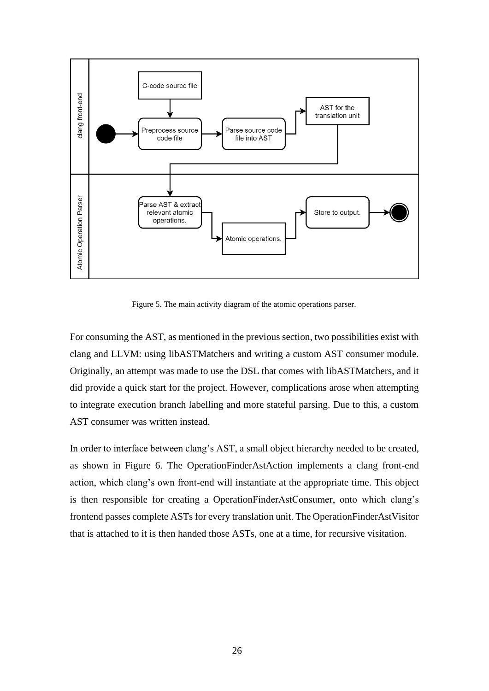

<span id="page-25-0"></span>Figure 5. The main activity diagram of the atomic operations parser.

For consuming the AST, as mentioned in the previous section, two possibilities exist with clang and LLVM: using libASTMatchers and writing a custom AST consumer module. Originally, an attempt was made to use the DSL that comes with libASTMatchers, and it did provide a quick start for the project. However, complications arose when attempting to integrate execution branch labelling and more stateful parsing. Due to this, a custom AST consumer was written instead.

In order to interface between clang's AST, a small object hierarchy needed to be created, as shown in [Figure 6.](#page-26-2) The OperationFinderAstAction implements a clang front-end action, which clang's own front-end will instantiate at the appropriate time. This object is then responsible for creating a OperationFinderAstConsumer, onto which clang's frontend passes complete ASTs for every translation unit. The OperationFinderAstVisitor that is attached to it is then handed those ASTs, one at a time, for recursive visitation.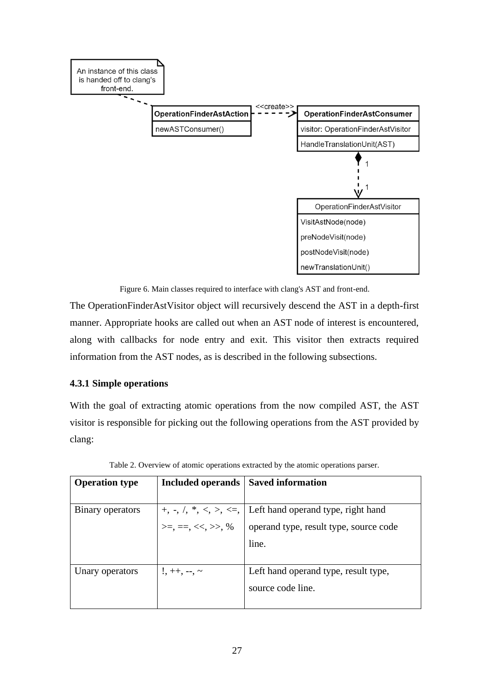

Figure 6. Main classes required to interface with clang's AST and front-end.

<span id="page-26-2"></span>The OperationFinderAstVisitor object will recursively descend the AST in a depth-first manner. Appropriate hooks are called out when an AST node of interest is encountered, along with callbacks for node entry and exit. This visitor then extracts required information from the AST nodes, as is described in the following subsections.

#### <span id="page-26-0"></span>**4.3.1 Simple operations**

With the goal of extracting atomic operations from the now compiled AST, the AST visitor is responsible for picking out the following operations from the AST provided by clang:

<span id="page-26-1"></span>

| <b>Operation type</b> | Included operands    | <b>Saved information</b>                                                    |  |
|-----------------------|----------------------|-----------------------------------------------------------------------------|--|
|                       |                      |                                                                             |  |
| Binary operators      |                      | $+, \neg, \land, *, \le, \ge, \le, \bot$ Left hand operand type, right hand |  |
|                       | $>=, ==, <<, >>, \%$ | operand type, result type, source code                                      |  |
|                       |                      | line.                                                                       |  |
|                       |                      |                                                                             |  |
| Unary operators       | $!,$ ++, --, ~       | Left hand operand type, result type,                                        |  |
|                       |                      | source code line.                                                           |  |
|                       |                      |                                                                             |  |

Table 2. Overview of atomic operations extracted by the atomic operations parser.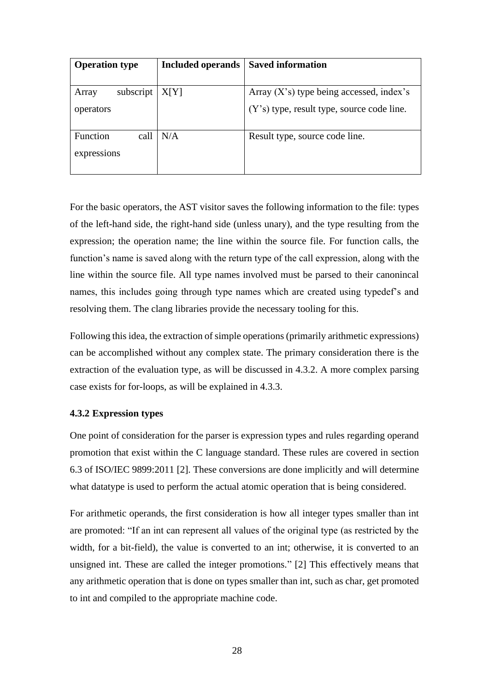| <b>Operation type</b>           | <b>Included operands</b> | <b>Saved information</b>                   |
|---------------------------------|--------------------------|--------------------------------------------|
|                                 |                          |                                            |
| subscript<br>Array              | X[Y]                     | Array $(X's)$ type being accessed, index's |
| operators                       |                          | (Y's) type, result type, source code line. |
| Function<br>call<br>expressions | N/A                      | Result type, source code line.             |

For the basic operators, the AST visitor saves the following information to the file: types of the left-hand side, the right-hand side (unless unary), and the type resulting from the expression; the operation name; the line within the source file. For function calls, the function's name is saved along with the return type of the call expression, along with the line within the source file. All type names involved must be parsed to their canonincal names, this includes going through type names which are created using typedef's and resolving them. The clang libraries provide the necessary tooling for this.

Following this idea, the extraction of simple operations (primarily arithmetic expressions) can be accomplished without any complex state. The primary consideration there is the extraction of the evaluation type, as will be discussed in [4.3.2.](#page-27-0) A more complex parsing case exists for for-loops, as will be explained in [4.3.3.](#page-29-0)

#### <span id="page-27-0"></span>**4.3.2 Expression types**

One point of consideration for the parser is expression types and rules regarding operand promotion that exist within the C language standard. These rules are covered in section 6.3 of ISO/IEC 9899:2011 [2]. These conversions are done implicitly and will determine what datatype is used to perform the actual atomic operation that is being considered.

For arithmetic operands, the first consideration is how all integer types smaller than int are promoted: "If an int can represent all values of the original type (as restricted by the width, for a bit-field), the value is converted to an int; otherwise, it is converted to an unsigned int. These are called the integer promotions." [2] This effectively means that any arithmetic operation that is done on types smaller than int, such as char, get promoted to int and compiled to the appropriate machine code.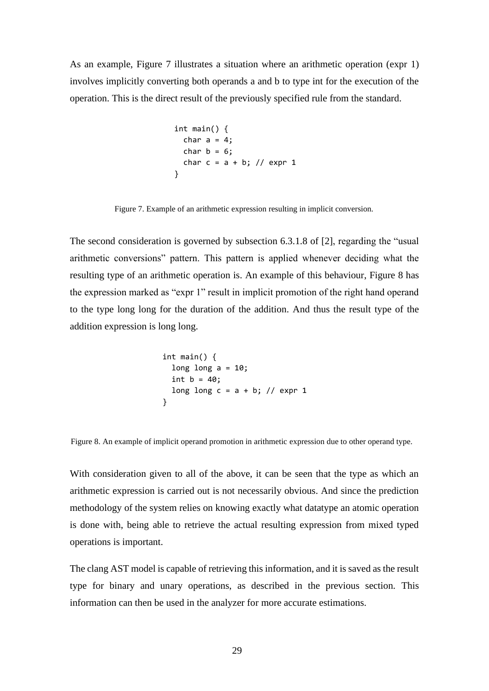As an example, [Figure 7](#page-28-0) illustrates a situation where an arithmetic operation (expr 1) involves implicitly converting both operands a and b to type int for the execution of the operation. This is the direct result of the previously specified rule from the standard.

```
int main() {
 char a = 4;
 char b = 6;
 char c = a + b; // expr 1
}
```
<span id="page-28-0"></span>Figure 7. Example of an arithmetic expression resulting in implicit conversion.

The second consideration is governed by subsection 6.3.1.8 of [2], regarding the "usual arithmetic conversions" pattern. This pattern is applied whenever deciding what the resulting type of an arithmetic operation is. An example of this behaviour, [Figure 8](#page-28-1) has the expression marked as "expr 1" result in implicit promotion of the right hand operand to the type long long for the duration of the addition. And thus the result type of the addition expression is long long.

```
int main() {
  long long a = 10;
 int b = 40;
  long long c = a + b; // expr 1
}
```
<span id="page-28-1"></span>Figure 8. An example of implicit operand promotion in arithmetic expression due to other operand type.

With consideration given to all of the above, it can be seen that the type as which an arithmetic expression is carried out is not necessarily obvious. And since the prediction methodology of the system relies on knowing exactly what datatype an atomic operation is done with, being able to retrieve the actual resulting expression from mixed typed operations is important.

The clang AST model is capable of retrieving this information, and it is saved as the result type for binary and unary operations, as described in the previous section. This information can then be used in the analyzer for more accurate estimations.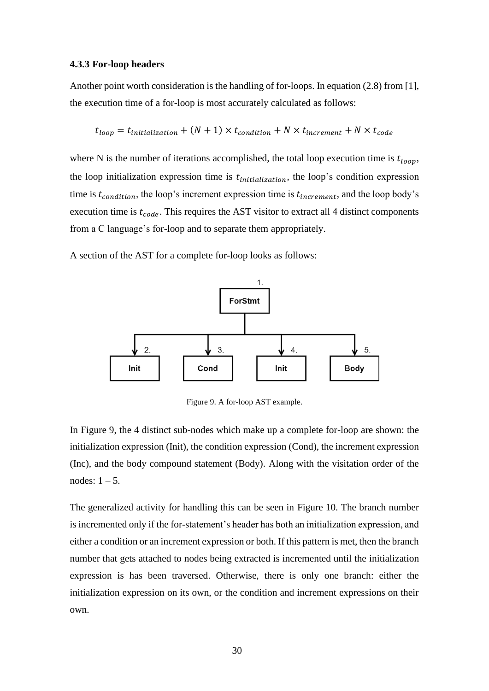#### <span id="page-29-0"></span>**4.3.3 For-loop headers**

Another point worth consideration is the handling of for-loops. In equation (2.8) from [1], the execution time of a for-loop is most accurately calculated as follows:

$$
t_{loop} = t_{initialization} + (N + 1) \times t_{condition} + N \times t_{increment} + N \times t_{code}
$$

where N is the number of iterations accomplished, the total loop execution time is  $t_{loop}$ , the loop initialization expression time is  $t_{initialization}$ , the loop's condition expression time is  $t_{condition}$ , the loop's increment expression time is  $t_{increment}$ , and the loop body's execution time is  $t_{code}$ . This requires the AST visitor to extract all 4 distinct components from a C language's for-loop and to separate them appropriately.

A section of the AST for a complete for-loop looks as follows:



Figure 9. A for-loop AST example.

<span id="page-29-1"></span>In [Figure 9,](#page-29-1) the 4 distinct sub-nodes which make up a complete for-loop are shown: the initialization expression (Init), the condition expression (Cond), the increment expression (Inc), and the body compound statement (Body). Along with the visitation order of the nodes:  $1 - 5$ .

The generalized activity for handling this can be seen in [Figure 10.](#page-30-1) The branch number is incremented only if the for-statement's header has both an initialization expression, and either a condition or an increment expression or both. If this pattern is met, then the branch number that gets attached to nodes being extracted is incremented until the initialization expression is has been traversed. Otherwise, there is only one branch: either the initialization expression on its own, or the condition and increment expressions on their own.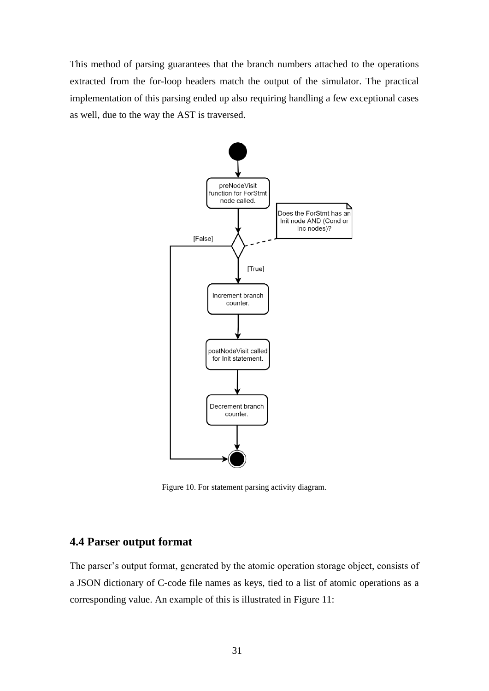This method of parsing guarantees that the branch numbers attached to the operations extracted from the for-loop headers match the output of the simulator. The practical implementation of this parsing ended up also requiring handling a few exceptional cases as well, due to the way the AST is traversed.



<span id="page-30-1"></span>Figure 10. For statement parsing activity diagram.

### <span id="page-30-0"></span>**4.4 Parser output format**

The parser's output format, generated by the atomic operation storage object, consists of a JSON dictionary of C-code file names as keys, tied to a list of atomic operations as a corresponding value. An example of this is illustrated in [Figure 11:](#page-31-1)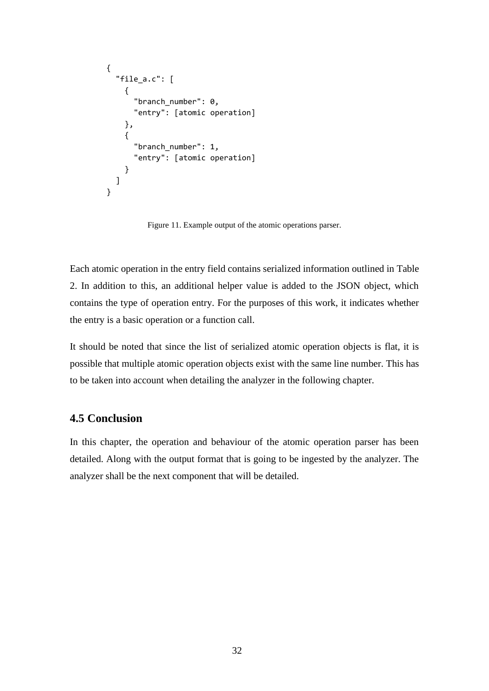```
{
   "file_a.c": [
     {
        "branch_number": 0,
        "entry": [atomic operation]
     },
     {
        "branch_number": 1,
       "entry": [atomic operation]
     }
   ]
}
```
Figure 11. Example output of the atomic operations parser.

<span id="page-31-1"></span>Each atomic operation in the entry field contains serialized information outlined in [Table](#page-26-1)  [2.](#page-26-1) In addition to this, an additional helper value is added to the JSON object, which contains the type of operation entry. For the purposes of this work, it indicates whether the entry is a basic operation or a function call.

It should be noted that since the list of serialized atomic operation objects is flat, it is possible that multiple atomic operation objects exist with the same line number. This has to be taken into account when detailing the analyzer in the following chapter.

### <span id="page-31-0"></span>**4.5 Conclusion**

In this chapter, the operation and behaviour of the atomic operation parser has been detailed. Along with the output format that is going to be ingested by the analyzer. The analyzer shall be the next component that will be detailed.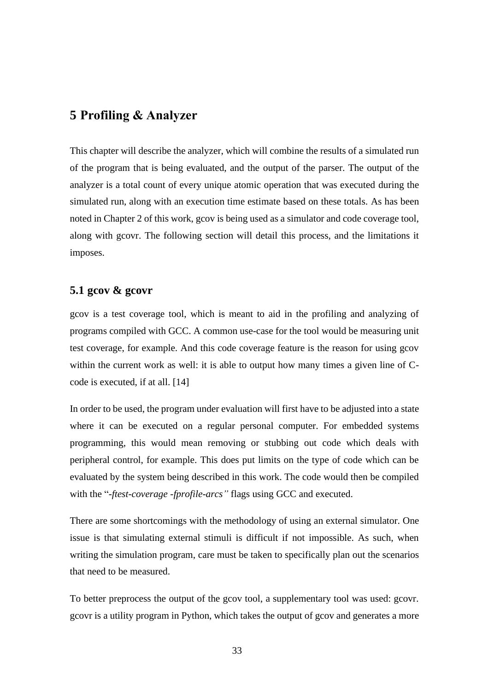## <span id="page-32-0"></span>**5 Profiling & Analyzer**

This chapter will describe the analyzer, which will combine the results of a simulated run of the program that is being evaluated, and the output of the parser. The output of the analyzer is a total count of every unique atomic operation that was executed during the simulated run, along with an execution time estimate based on these totals. As has been noted in Chapter [2](#page-12-0) of this work, gcov is being used as a simulator and code coverage tool, along with gcovr. The following section will detail this process, and the limitations it imposes.

### <span id="page-32-1"></span>**5.1 gcov & gcovr**

gcov is a test coverage tool, which is meant to aid in the profiling and analyzing of programs compiled with GCC. A common use-case for the tool would be measuring unit test coverage, for example. And this code coverage feature is the reason for using gcov within the current work as well: it is able to output how many times a given line of Ccode is executed, if at all. [14]

In order to be used, the program under evaluation will first have to be adjusted into a state where it can be executed on a regular personal computer. For embedded systems programming, this would mean removing or stubbing out code which deals with peripheral control, for example. This does put limits on the type of code which can be evaluated by the system being described in this work. The code would then be compiled with the "*-ftest-coverage -fprofile-arcs"* flags using GCC and executed.

There are some shortcomings with the methodology of using an external simulator. One issue is that simulating external stimuli is difficult if not impossible. As such, when writing the simulation program, care must be taken to specifically plan out the scenarios that need to be measured.

To better preprocess the output of the gcov tool, a supplementary tool was used: gcovr. gcovr is a utility program in Python, which takes the output of gcov and generates a more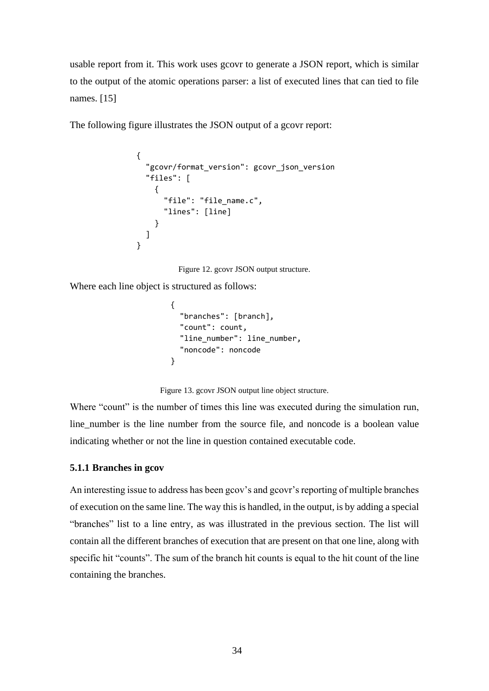usable report from it. This work uses gcovr to generate a JSON report, which is similar to the output of the atomic operations parser: a list of executed lines that can tied to file names. [15]

The following figure illustrates the JSON output of a gcovr report:

```
{
   "gcovr/format_version": gcovr_json_version
   "files": [
     {
      "file": "file name.c",
       "lines": [line]
     }
   ]
}
```
Figure 12. gcovr JSON output structure.

Where each line object is structured as follows:

```
{
   "branches": [branch],
   "count": count,
  "line number": line number,
   "noncode": noncode
}
```
Figure 13. gcovr JSON output line object structure.

Where "count" is the number of times this line was executed during the simulation run, line\_number is the line number from the source file, and noncode is a boolean value indicating whether or not the line in question contained executable code.

#### <span id="page-33-0"></span>**5.1.1 Branches in gcov**

An interesting issue to address has been gcov's and gcovr's reporting of multiple branches of execution on the same line. The way this is handled, in the output, is by adding a special "branches" list to a line entry, as was illustrated in the previous section. The list will contain all the different branches of execution that are present on that one line, along with specific hit "counts". The sum of the branch hit counts is equal to the hit count of the line containing the branches.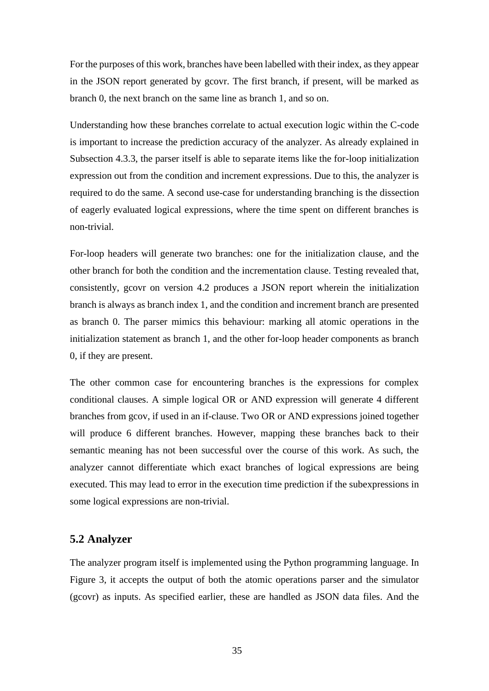For the purposes of this work, branches have been labelled with their index, as they appear in the JSON report generated by gcovr. The first branch, if present, will be marked as branch 0, the next branch on the same line as branch 1, and so on.

Understanding how these branches correlate to actual execution logic within the C-code is important to increase the prediction accuracy of the analyzer. As already explained in Subsection [4.3.3,](#page-29-0) the parser itself is able to separate items like the for-loop initialization expression out from the condition and increment expressions. Due to this, the analyzer is required to do the same. A second use-case for understanding branching is the dissection of eagerly evaluated logical expressions, where the time spent on different branches is non-trivial.

For-loop headers will generate two branches: one for the initialization clause, and the other branch for both the condition and the incrementation clause. Testing revealed that, consistently, gcovr on version 4.2 produces a JSON report wherein the initialization branch is always as branch index 1, and the condition and increment branch are presented as branch 0. The parser mimics this behaviour: marking all atomic operations in the initialization statement as branch 1, and the other for-loop header components as branch 0, if they are present.

The other common case for encountering branches is the expressions for complex conditional clauses. A simple logical OR or AND expression will generate 4 different branches from gcov, if used in an if-clause. Two OR or AND expressions joined together will produce 6 different branches. However, mapping these branches back to their semantic meaning has not been successful over the course of this work. As such, the analyzer cannot differentiate which exact branches of logical expressions are being executed. This may lead to error in the execution time prediction if the subexpressions in some logical expressions are non-trivial.

#### <span id="page-34-0"></span>**5.2 Analyzer**

The analyzer program itself is implemented using the Python programming language. In [Figure 3,](#page-18-0) it accepts the output of both the atomic operations parser and the simulator (gcovr) as inputs. As specified earlier, these are handled as JSON data files. And the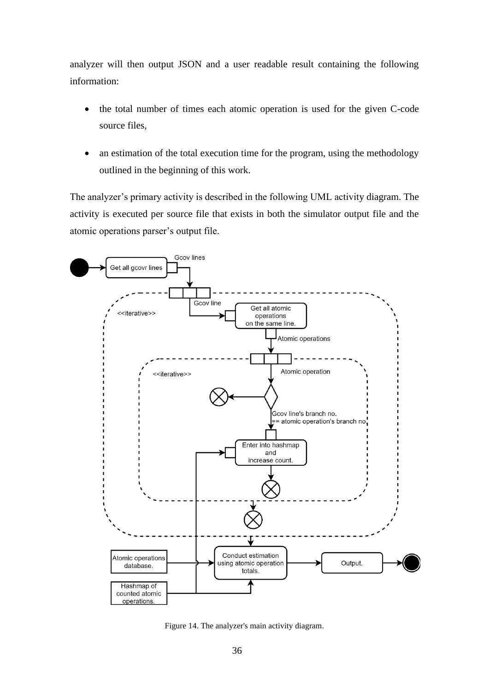analyzer will then output JSON and a user readable result containing the following information:

- the total number of times each atomic operation is used for the given C-code source files,
- an estimation of the total execution time for the program, using the methodology outlined in the beginning of this work.

The analyzer's primary activity is described in the following UML activity diagram. The activity is executed per source file that exists in both the simulator output file and the atomic operations parser's output file.



<span id="page-35-0"></span>Figure 14. The analyzer's main activity diagram.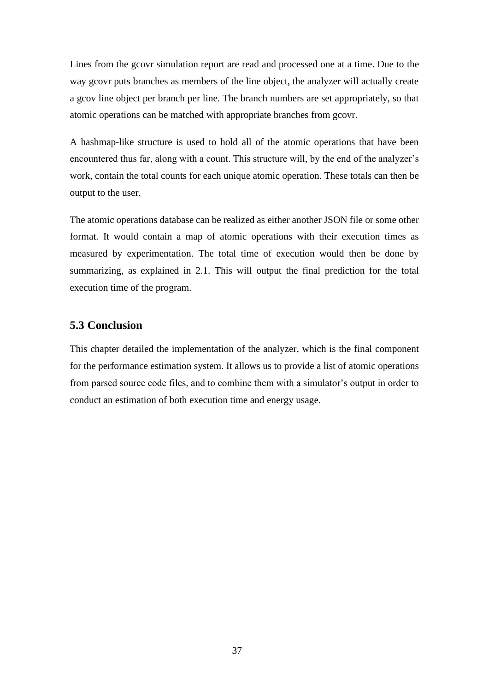Lines from the gcovr simulation report are read and processed one at a time. Due to the way gcovr puts branches as members of the line object, the analyzer will actually create a gcov line object per branch per line. The branch numbers are set appropriately, so that atomic operations can be matched with appropriate branches from gcovr.

A hashmap-like structure is used to hold all of the atomic operations that have been encountered thus far, along with a count. This structure will, by the end of the analyzer's work, contain the total counts for each unique atomic operation. These totals can then be output to the user.

The atomic operations database can be realized as either another JSON file or some other format. It would contain a map of atomic operations with their execution times as measured by experimentation. The total time of execution would then be done by summarizing, as explained in [2.1.](#page-12-1) This will output the final prediction for the total execution time of the program.

### <span id="page-36-0"></span>**5.3 Conclusion**

This chapter detailed the implementation of the analyzer, which is the final component for the performance estimation system. It allows us to provide a list of atomic operations from parsed source code files, and to combine them with a simulator's output in order to conduct an estimation of both execution time and energy usage.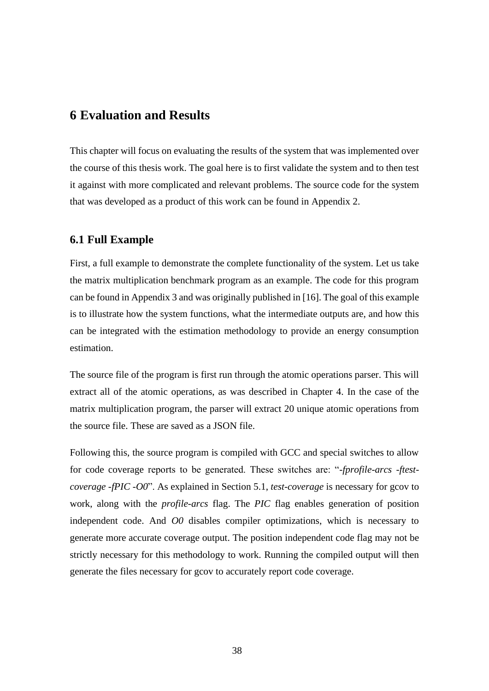## <span id="page-37-0"></span>**6 Evaluation and Results**

This chapter will focus on evaluating the results of the system that was implemented over the course of this thesis work. The goal here is to first validate the system and to then test it against with more complicated and relevant problems. The source code for the system that was developed as a product of this work can be found in Appendix 2.

#### <span id="page-37-1"></span>**6.1 Full Example**

First, a full example to demonstrate the complete functionality of the system. Let us take the matrix multiplication benchmark program as an example. The code for this program can be found in Appendix 3 and was originally published in [16]. The goal of this example is to illustrate how the system functions, what the intermediate outputs are, and how this can be integrated with the estimation methodology to provide an energy consumption estimation.

The source file of the program is first run through the atomic operations parser. This will extract all of the atomic operations, as was described in Chapter [4.](#page-20-0) In the case of the matrix multiplication program, the parser will extract 20 unique atomic operations from the source file. These are saved as a JSON file.

Following this, the source program is compiled with GCC and special switches to allow for code coverage reports to be generated. These switches are: "*-fprofile-arcs -ftestcoverage -fPIC -O0*". As explained in Section [5.1,](#page-32-1) *test-coverage* is necessary for gcov to work, along with the *profile-arcs* flag. The *PIC* flag enables generation of position independent code. And *O0* disables compiler optimizations, which is necessary to generate more accurate coverage output. The position independent code flag may not be strictly necessary for this methodology to work. Running the compiled output will then generate the files necessary for gcov to accurately report code coverage.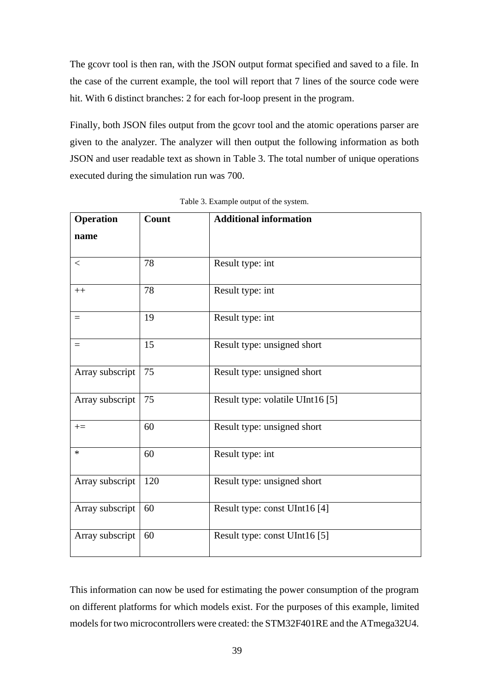The gcovr tool is then ran, with the JSON output format specified and saved to a file. In the case of the current example, the tool will report that 7 lines of the source code were hit. With 6 distinct branches: 2 for each for-loop present in the program.

Finally, both JSON files output from the gcovr tool and the atomic operations parser are given to the analyzer. The analyzer will then output the following information as both JSON and user readable text as shown in [Table 3.](#page-38-0) The total number of unique operations executed during the simulation run was 700.

<span id="page-38-0"></span>

| <b>Operation</b> | Count | <b>Additional information</b>    |
|------------------|-------|----------------------------------|
| name             |       |                                  |
| $\lt$            | 78    | Result type: int                 |
| $++$             | 78    | Result type: int                 |
| $=$              | 19    | Result type: int                 |
| $=$              | 15    | Result type: unsigned short      |
| Array subscript  | 75    | Result type: unsigned short      |
| Array subscript  | 75    | Result type: volatile UInt16 [5] |
| $+=$             | 60    | Result type: unsigned short      |
| $\ast$           | 60    | Result type: int                 |
| Array subscript  | 120   | Result type: unsigned short      |
| Array subscript  | 60    | Result type: const UInt16 [4]    |
| Array subscript  | 60    | Result type: const UInt16 [5]    |

Table 3. Example output of the system.

This information can now be used for estimating the power consumption of the program on different platforms for which models exist. For the purposes of this example, limited models for two microcontrollers were created: the STM32F401RE and the ATmega32U4.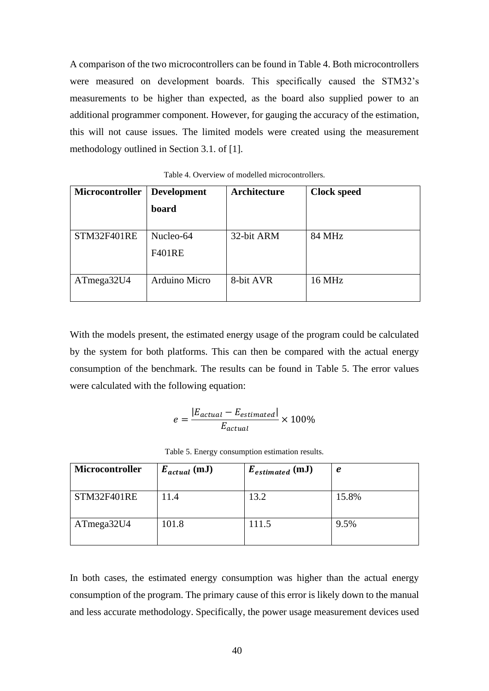A comparison of the two microcontrollers can be found in [Table 4.](#page-39-0) Both microcontrollers were measured on development boards. This specifically caused the STM32's measurements to be higher than expected, as the board also supplied power to an additional programmer component. However, for gauging the accuracy of the estimation, this will not cause issues. The limited models were created using the measurement methodology outlined in Section 3.1. of [1].

<span id="page-39-0"></span>

| Microcontroller | <b>Development</b><br>board | Architecture | <b>Clock speed</b> |
|-----------------|-----------------------------|--------------|--------------------|
| STM32F401RE     | Nucleo-64<br><b>F401RE</b>  | 32-bit ARM   | 84 MHz             |
| ATmega32U4      | Arduino Micro               | 8-bit AVR    | 16 MHz             |

Table 4. Overview of modelled microcontrollers.

With the models present, the estimated energy usage of the program could be calculated by the system for both platforms. This can then be compared with the actual energy consumption of the benchmark. The results can be found in [Table 5.](#page-39-1) The error values were calculated with the following equation:

$$
e = \frac{|E_{actual} - E_{estimated}|}{E_{actual}} \times 100\%
$$

| Table 5. Energy consumption estimation results. |
|-------------------------------------------------|
|-------------------------------------------------|

<span id="page-39-1"></span>

| Microcontroller | $E_{actual}$ (mJ) | $E_{estimated}$ (mJ) | e     |
|-----------------|-------------------|----------------------|-------|
| STM32F401RE     | 11.4              | 13.2                 | 15.8% |
| ATmega32U4      | 101.8             | 111.5                | 9.5%  |

In both cases, the estimated energy consumption was higher than the actual energy consumption of the program. The primary cause of this error is likely down to the manual and less accurate methodology. Specifically, the power usage measurement devices used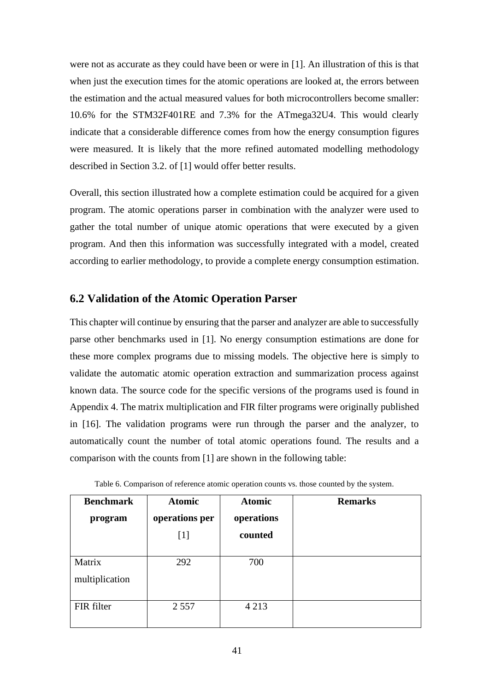were not as accurate as they could have been or were in [1]. An illustration of this is that when just the execution times for the atomic operations are looked at, the errors between the estimation and the actual measured values for both microcontrollers become smaller: 10.6% for the STM32F401RE and 7.3% for the ATmega32U4. This would clearly indicate that a considerable difference comes from how the energy consumption figures were measured. It is likely that the more refined automated modelling methodology described in Section 3.2. of [1] would offer better results.

Overall, this section illustrated how a complete estimation could be acquired for a given program. The atomic operations parser in combination with the analyzer were used to gather the total number of unique atomic operations that were executed by a given program. And then this information was successfully integrated with a model, created according to earlier methodology, to provide a complete energy consumption estimation.

## <span id="page-40-0"></span>**6.2 Validation of the Atomic Operation Parser**

This chapter will continue by ensuring that the parser and analyzer are able to successfully parse other benchmarks used in [1]. No energy consumption estimations are done for these more complex programs due to missing models. The objective here is simply to validate the automatic atomic operation extraction and summarization process against known data. The source code for the specific versions of the programs used is found in Appendix 4. The matrix multiplication and FIR filter programs were originally published in [16]. The validation programs were run through the parser and the analyzer, to automatically count the number of total atomic operations found. The results and a comparison with the counts from [1] are shown in the following table:

<span id="page-40-1"></span>

| <b>Benchmark</b> | <b>Atomic</b>  | <b>Atomic</b> | <b>Remarks</b> |
|------------------|----------------|---------------|----------------|
| program          | operations per | operations    |                |
|                  | $[1]$          | counted       |                |
|                  |                |               |                |
| Matrix           | 292            | 700           |                |
| multiplication   |                |               |                |
| FIR filter       | 2 5 5 7        | 4 2 1 3       |                |

Table 6. Comparison of reference atomic operation counts vs. those counted by the system.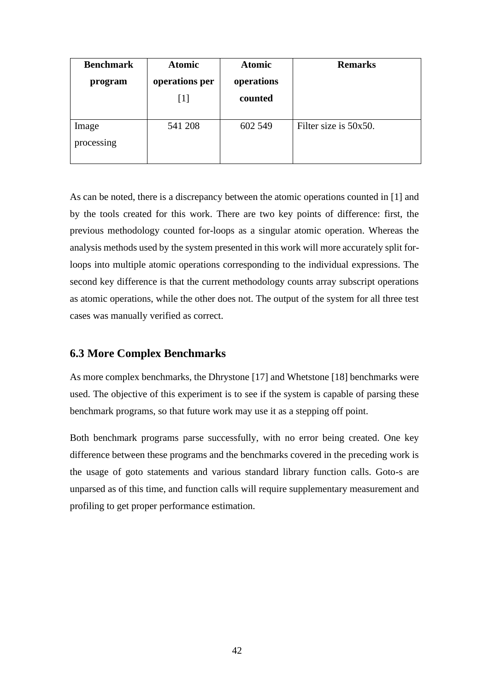| <b>Benchmark</b>    | <b>Atomic</b>  | <b>Atomic</b> | <b>Remarks</b>        |
|---------------------|----------------|---------------|-----------------------|
| program             | operations per | operations    |                       |
|                     | $[1]$          | counted       |                       |
| Image<br>processing | 541 208        | 602 549       | Filter size is 50x50. |

As can be noted, there is a discrepancy between the atomic operations counted in [1] and by the tools created for this work. There are two key points of difference: first, the previous methodology counted for-loops as a singular atomic operation. Whereas the analysis methods used by the system presented in this work will more accurately split forloops into multiple atomic operations corresponding to the individual expressions. The second key difference is that the current methodology counts array subscript operations as atomic operations, while the other does not. The output of the system for all three test cases was manually verified as correct.

### <span id="page-41-0"></span>**6.3 More Complex Benchmarks**

As more complex benchmarks, the Dhrystone [17] and Whetstone [18] benchmarks were used. The objective of this experiment is to see if the system is capable of parsing these benchmark programs, so that future work may use it as a stepping off point.

Both benchmark programs parse successfully, with no error being created. One key difference between these programs and the benchmarks covered in the preceding work is the usage of goto statements and various standard library function calls. Goto-s are unparsed as of this time, and function calls will require supplementary measurement and profiling to get proper performance estimation.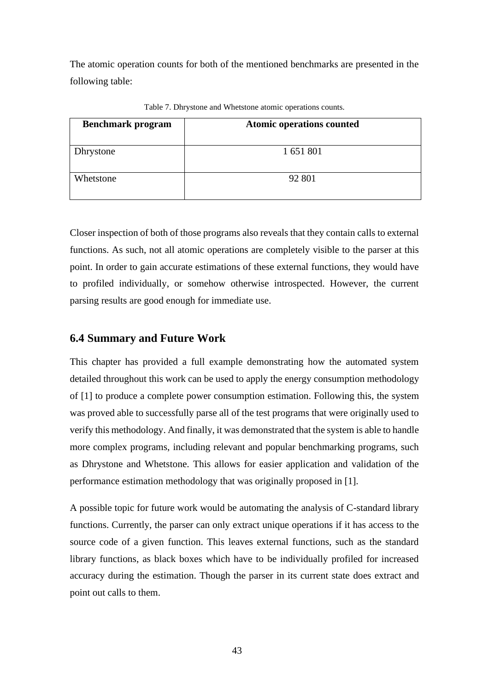The atomic operation counts for both of the mentioned benchmarks are presented in the following table:

<span id="page-42-1"></span>

| <b>Benchmark program</b> | <b>Atomic operations counted</b> |
|--------------------------|----------------------------------|
|                          |                                  |
| Dhrystone                | 1 651 801                        |
|                          |                                  |
| Whetstone                | 92 801                           |
|                          |                                  |

Table 7. Dhrystone and Whetstone atomic operations counts.

Closer inspection of both of those programs also reveals that they contain calls to external functions. As such, not all atomic operations are completely visible to the parser at this point. In order to gain accurate estimations of these external functions, they would have to profiled individually, or somehow otherwise introspected. However, the current parsing results are good enough for immediate use.

## <span id="page-42-0"></span>**6.4 Summary and Future Work**

This chapter has provided a full example demonstrating how the automated system detailed throughout this work can be used to apply the energy consumption methodology of [1] to produce a complete power consumption estimation. Following this, the system was proved able to successfully parse all of the test programs that were originally used to verify this methodology. And finally, it was demonstrated that the system is able to handle more complex programs, including relevant and popular benchmarking programs, such as Dhrystone and Whetstone. This allows for easier application and validation of the performance estimation methodology that was originally proposed in [1].

A possible topic for future work would be automating the analysis of C-standard library functions. Currently, the parser can only extract unique operations if it has access to the source code of a given function. This leaves external functions, such as the standard library functions, as black boxes which have to be individually profiled for increased accuracy during the estimation. Though the parser in its current state does extract and point out calls to them.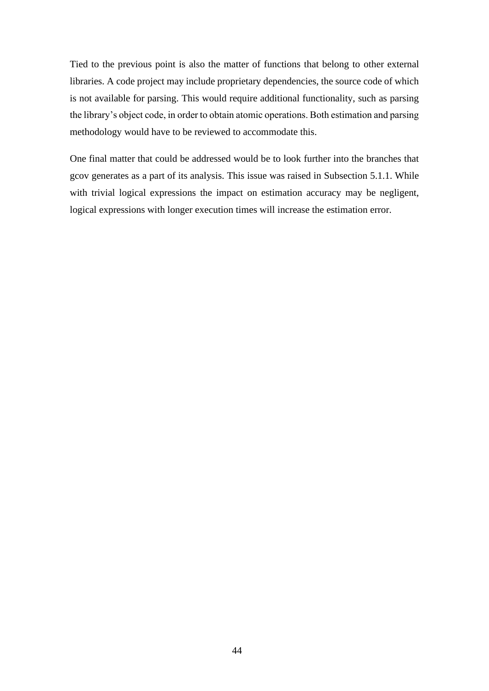Tied to the previous point is also the matter of functions that belong to other external libraries. A code project may include proprietary dependencies, the source code of which is not available for parsing. This would require additional functionality, such as parsing the library's object code, in order to obtain atomic operations. Both estimation and parsing methodology would have to be reviewed to accommodate this.

One final matter that could be addressed would be to look further into the branches that gcov generates as a part of its analysis. This issue was raised in Subsection [5.1.1.](#page-33-0) While with trivial logical expressions the impact on estimation accuracy may be negligent, logical expressions with longer execution times will increase the estimation error.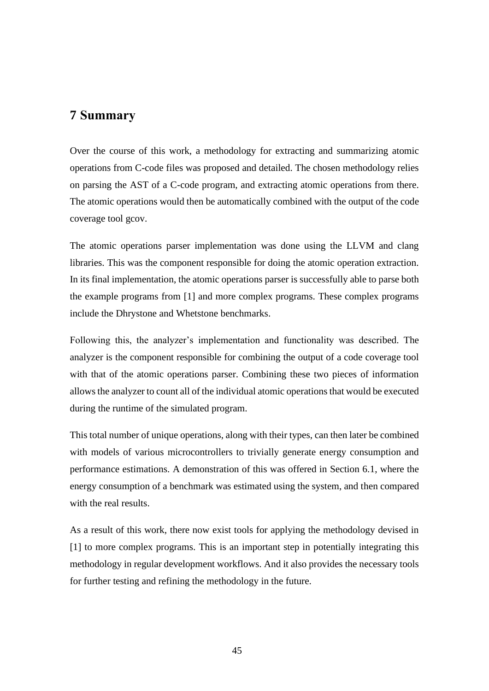## <span id="page-44-0"></span>**7 Summary**

Over the course of this work, a methodology for extracting and summarizing atomic operations from C-code files was proposed and detailed. The chosen methodology relies on parsing the AST of a C-code program, and extracting atomic operations from there. The atomic operations would then be automatically combined with the output of the code coverage tool gcov.

The atomic operations parser implementation was done using the LLVM and clang libraries. This was the component responsible for doing the atomic operation extraction. In its final implementation, the atomic operations parser is successfully able to parse both the example programs from [1] and more complex programs. These complex programs include the Dhrystone and Whetstone benchmarks.

Following this, the analyzer's implementation and functionality was described. The analyzer is the component responsible for combining the output of a code coverage tool with that of the atomic operations parser. Combining these two pieces of information allows the analyzer to count all of the individual atomic operations that would be executed during the runtime of the simulated program.

This total number of unique operations, along with their types, can then later be combined with models of various microcontrollers to trivially generate energy consumption and performance estimations. A demonstration of this was offered in Section [6.1,](#page-37-1) where the energy consumption of a benchmark was estimated using the system, and then compared with the real results.

As a result of this work, there now exist tools for applying the methodology devised in [1] to more complex programs. This is an important step in potentially integrating this methodology in regular development workflows. And it also provides the necessary tools for further testing and refining the methodology in the future.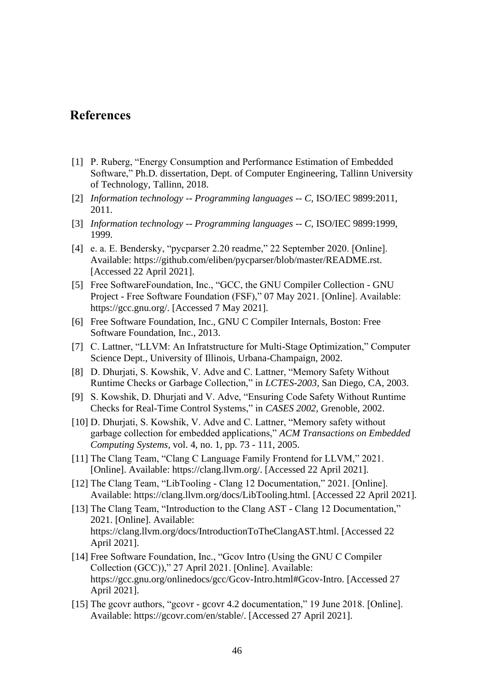## <span id="page-45-0"></span>**References**

- [1] P. Ruberg, "Energy Consumption and Performance Estimation of Embedded Software," Ph.D. dissertation, Dept. of Computer Engineering, Tallinn University of Technology, Tallinn, 2018.
- [2] *Information technology -- Programming languages -- C,* ISO/IEC 9899:2011, 2011.
- [3] *Information technology -- Programming languages -- C,* ISO/IEC 9899:1999, 1999.
- [4] e. a. E. Bendersky, "pycparser 2.20 readme," 22 September 2020. [Online]. Available: https://github.com/eliben/pycparser/blob/master/README.rst. [Accessed 22 April 2021].
- [5] Free SoftwareFoundation, Inc., "GCC, the GNU Compiler Collection GNU Project - Free Software Foundation (FSF)," 07 May 2021. [Online]. Available: https://gcc.gnu.org/. [Accessed 7 May 2021].
- [6] Free Software Foundation, Inc., GNU C Compiler Internals, Boston: Free Software Foundation, Inc., 2013.
- [7] C. Lattner, "LLVM: An Infratstructure for Multi-Stage Optimization," Computer Science Dept., University of Illinois, Urbana-Champaign, 2002.
- [8] D. Dhurjati, S. Kowshik, V. Adve and C. Lattner, "Memory Safety Without Runtime Checks or Garbage Collection," in *LCTES-2003*, San Diego, CA, 2003.
- [9] S. Kowshik, D. Dhurjati and V. Adve, "Ensuring Code Safety Without Runtime Checks for Real-Time Control Systems," in *CASES 2002*, Grenoble, 2002.
- [10] D. Dhurjati, S. Kowshik, V. Adve and C. Lattner, "Memory safety without garbage collection for embedded applications," *ACM Transactions on Embedded Computing Systems,* vol. 4, no. 1, pp. 73 - 111, 2005.
- [11] The Clang Team, "Clang C Language Family Frontend for LLVM," 2021. [Online]. Available: https://clang.llvm.org/. [Accessed 22 April 2021].
- [12] The Clang Team, "LibTooling Clang 12 Documentation," 2021. [Online]. Available: https://clang.llvm.org/docs/LibTooling.html. [Accessed 22 April 2021].
- [13] The Clang Team, "Introduction to the Clang AST Clang 12 Documentation," 2021. [Online]. Available: https://clang.llvm.org/docs/IntroductionToTheClangAST.html. [Accessed 22 April 2021].
- [14] Free Software Foundation, Inc., "Gcov Intro (Using the GNU C Compiler Collection (GCC))," 27 April 2021. [Online]. Available: https://gcc.gnu.org/onlinedocs/gcc/Gcov-Intro.html#Gcov-Intro. [Accessed 27 April 2021].
- [15] The gcovr authors, "gcovr gcovr 4.2 documentation," 19 June 2018. [Online]. Available: https://gcovr.com/en/stable/. [Accessed 27 April 2021].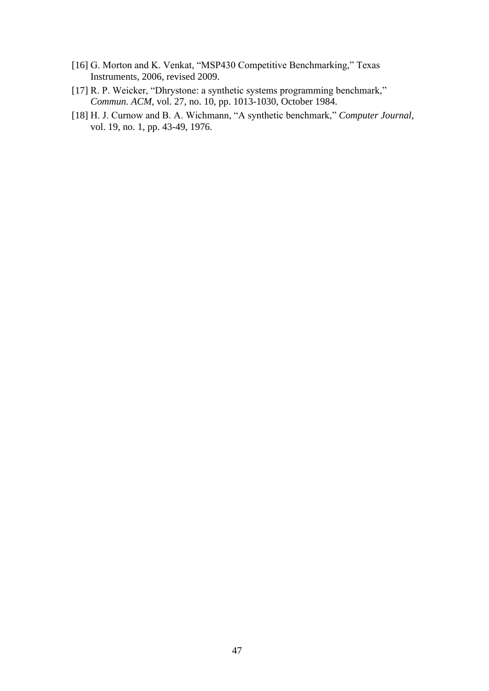- [16] G. Morton and K. Venkat, "MSP430 Competitive Benchmarking," Texas Instruments, 2006, revised 2009.
- [17] R. P. Weicker, "Dhrystone: a synthetic systems programming benchmark," *Commun. ACM,* vol. 27, no. 10, pp. 1013-1030, October 1984.
- [18] H. J. Curnow and B. A. Wichmann, "A synthetic benchmark," *Computer Journal,*  vol. 19, no. 1, pp. 43-49, 1976.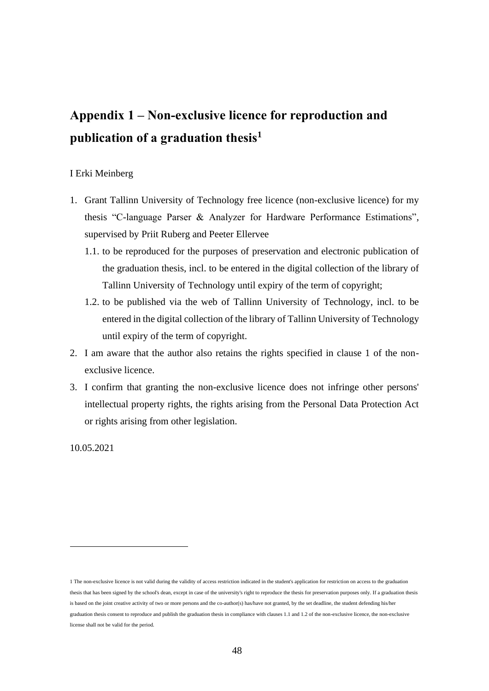# <span id="page-47-0"></span>**Appendix 1 – Non-exclusive licence for reproduction and publication of a graduation thesis<sup>1</sup>**

#### I Erki Meinberg

- 1. Grant Tallinn University of Technology free licence (non-exclusive licence) for my thesis "C-language Parser & Analyzer for Hardware Performance Estimations", supervised by Priit Ruberg and Peeter Ellervee
	- 1.1. to be reproduced for the purposes of preservation and electronic publication of the graduation thesis, incl. to be entered in the digital collection of the library of Tallinn University of Technology until expiry of the term of copyright;
	- 1.2. to be published via the web of Tallinn University of Technology, incl. to be entered in the digital collection of the library of Tallinn University of Technology until expiry of the term of copyright.
- 2. I am aware that the author also retains the rights specified in clause 1 of the nonexclusive licence.
- 3. I confirm that granting the non-exclusive licence does not infringe other persons' intellectual property rights, the rights arising from the Personal Data Protection Act or rights arising from other legislation.

10.05.2021

<sup>1</sup> The non-exclusive licence is not valid during the validity of access restriction indicated in the student's application for restriction on access to the graduation thesis that has been signed by the school's dean, except in case of the university's right to reproduce the thesis for preservation purposes only. If a graduation thesis is based on the joint creative activity of two or more persons and the co-author(s) has/have not granted, by the set deadline, the student defending his/her graduation thesis consent to reproduce and publish the graduation thesis in compliance with clauses 1.1 and 1.2 of the non-exclusive licence, the non-exclusive license shall not be valid for the period.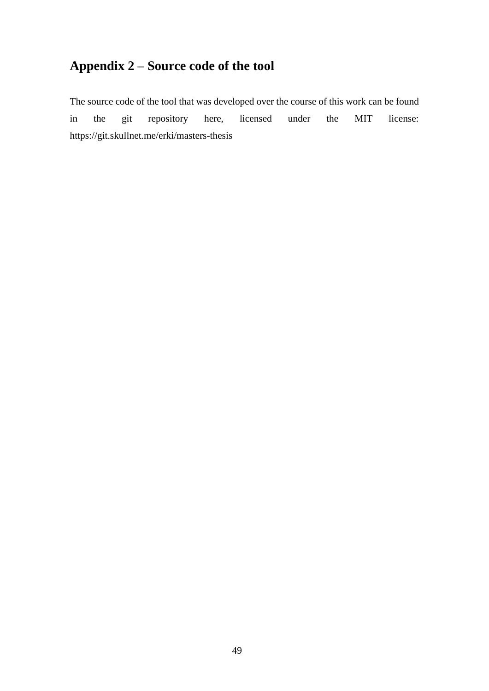## <span id="page-48-0"></span>**Appendix 2 – Source code of the tool**

The source code of the tool that was developed over the course of this work can be found in the git repository here, licensed under the MIT license: <https://git.skullnet.me/erki/masters-thesis>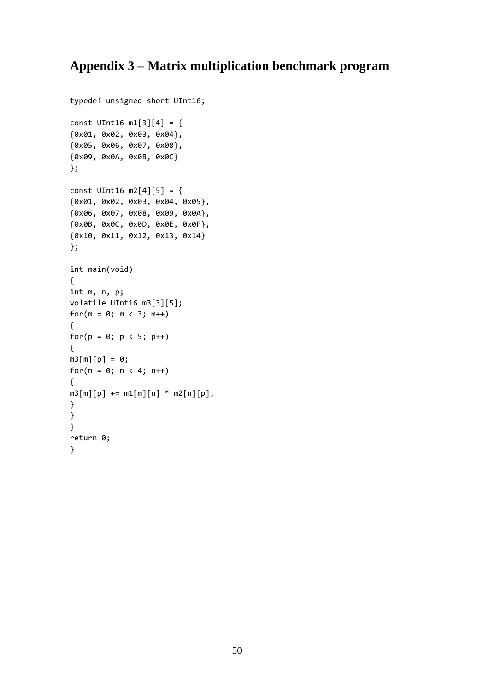## <span id="page-49-0"></span>**Appendix 3 – Matrix multiplication benchmark program**

```
typedef unsigned short UInt16;
const UInt16 m1[3][4] = {
{0x01, 0x02, 0x03, 0x04},
{0x05, 0x06, 0x07, 0x08},
{0x09, 0x0A, 0x0B, 0x0C}
};
const UInt16 m2[4][5] = {
{0x01, 0x02, 0x03, 0x04, 0x05},
{0x06, 0x07, 0x08, 0x09, 0x0A},
{0x0B, 0x0C, 0x0D, 0x0E, 0x0F},
{0x10, 0x11, 0x12, 0x13, 0x14}
};
int main(void)
{
int m, n, p;
volatile UInt16 m3[3][5];
for(m = 0; m < 3; m++)
{
for(p = 0; p < 5; p++)
{
m3[m][p] = 0;for(n = 0; n < 4; n++){
m3[m][p] += m1[m][n] * m2[n][p];
}
}
}
return 0;
}
```